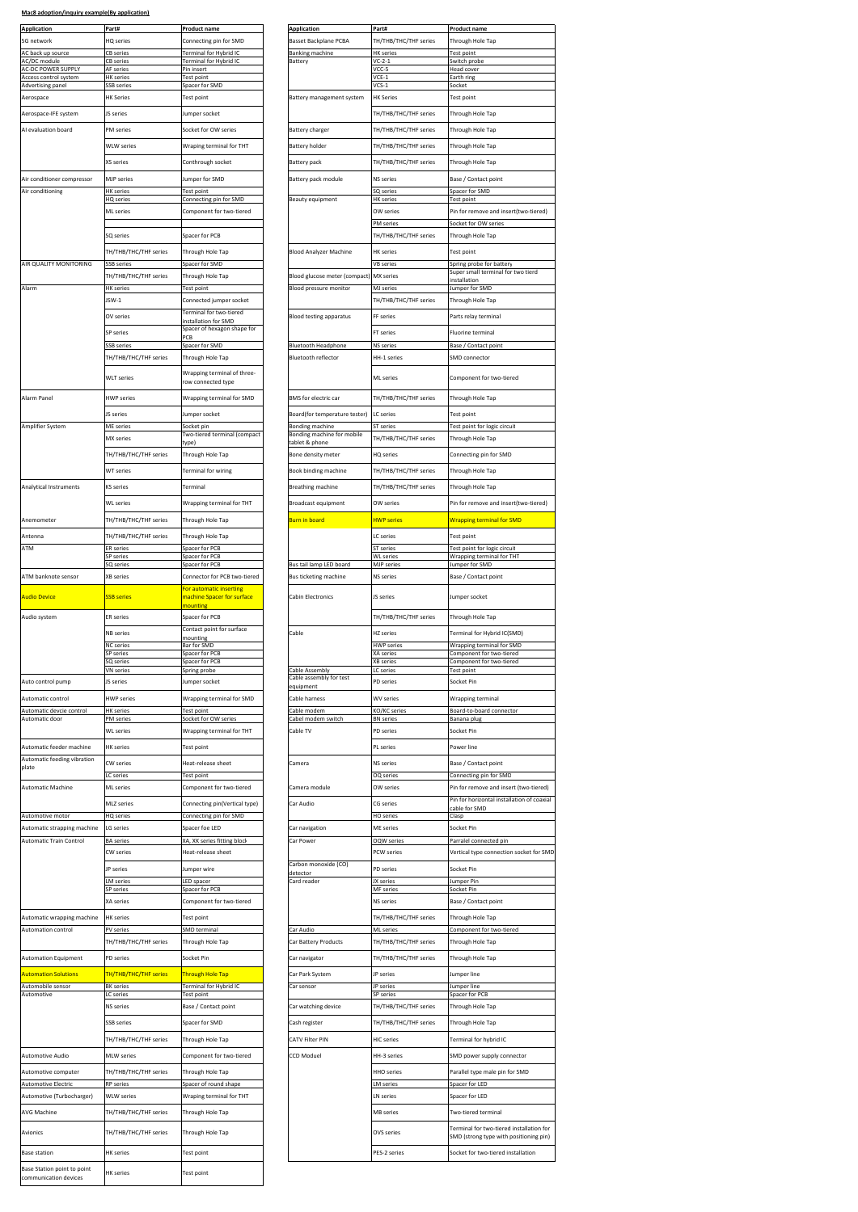| Application<br>5G network                               | Part#<br>HQ series                         | <b>Product name</b><br>Connecting pin for SMD           | <b>Application</b><br><b>Basset Backplane PCBA</b> | Part#<br>TH/THB/THC/THF series            | <b>Product name</b><br>Through Hole Tap                                                                                                              |
|---------------------------------------------------------|--------------------------------------------|---------------------------------------------------------|----------------------------------------------------|-------------------------------------------|------------------------------------------------------------------------------------------------------------------------------------------------------|
| AC back up source<br>AC/DC module                       | CB series<br>CB series                     | Terminal for Hybrid IC<br>Terminal for Hybrid IC        | <b>Banking machine</b><br>Battery                  | <b>HK</b> series<br>$VC-2-1$              | Test point<br>Switch probe                                                                                                                           |
| AC-DC POWER SUPPLY<br>Access control system             | AF series<br><b>HK</b> series              | Pin insert<br><b>Test point</b>                         |                                                    | VCC-5<br>$VCE-1$                          | Head cover<br>Earth ring                                                                                                                             |
| Advertising pane                                        | SB series                                  | Spacer for SMD                                          |                                                    | $\sqrt{CS-1}$                             | Socket                                                                                                                                               |
| Aerospace                                               | HK Series<br>JS series                     | Test point<br>Jumper socket                             | Battery management system                          | <b>HK Series</b><br>TH/THB/THC/THF series | Test point<br>Through Hole Tap                                                                                                                       |
| Aerospace-IFE system<br>AI evaluation board             | PM series                                  | Socket for OW series                                    | <b>Battery charger</b>                             | TH/THB/THC/THF series                     | Through Hole Tap                                                                                                                                     |
|                                                         | <b>WLW series</b>                          | Wraping terminal for THT                                | <b>Battery holder</b>                              | TH/THB/THC/THF series                     | Through Hole Tap                                                                                                                                     |
|                                                         | XS series                                  | Conthrough socket                                       | Battery pack                                       | TH/THB/THC/THF series                     | Through Hole Tap                                                                                                                                     |
| Air conditioner compressor                              | <b>MJP</b> series                          | Jumper for SMD                                          | Battery pack module                                | <b>NS</b> series                          | Base / Contact point                                                                                                                                 |
| Air conditioning                                        | <b>HK</b> series                           | <b>Test point</b>                                       |                                                    | SQ series                                 | Spacer for SMD                                                                                                                                       |
|                                                         | HQ series<br><b>ML</b> series              | Connecting pin for SMD<br>Component for two-tiered      | Beauty equipment                                   | <b>HK</b> series<br>OW series             | <b>Test point</b><br>Pin for remove and insert(t                                                                                                     |
|                                                         |                                            |                                                         |                                                    | PM series                                 | Socket for OW series                                                                                                                                 |
|                                                         | SQ series                                  | Spacer for PCB                                          |                                                    | TH/THB/THC/THF series                     | Through Hole Tap                                                                                                                                     |
| AIR QUALITY MONITORING                                  | TH/THB/THC/THF series<br><b>SSB series</b> | Through Hole Tap<br>Spacer for SMD                      | <b>Blood Analyzer Machine</b>                      | <b>HK</b> series<br><b>VB</b> series      | Test point<br>Spring probe for battery                                                                                                               |
|                                                         | TH/THB/THC/THF series                      | Through Hole Tap                                        | Blood glucose meter (compact)                      | <b>MX</b> series                          | Super small terminal for tw<br>installation                                                                                                          |
| Alarm                                                   | <b>HK</b> series<br>JSW-1                  | Test point                                              | Blood pressure monitor                             | MJ series                                 | Jumper for SMD                                                                                                                                       |
|                                                         |                                            | Connected jumper socket<br>Terminal for two-tiered      |                                                    | TH/THB/THC/THF series                     | Through Hole Tap<br>Parts relay terminal                                                                                                             |
|                                                         | OV series                                  | installation for SMD<br>Spacer of hexagon shape for     | <b>Blood testing apparatus</b>                     | FF series                                 |                                                                                                                                                      |
|                                                         | <b>SP</b> series<br><b>SSB series</b>      | PCB<br>Spacer for SMD                                   | <b>Bluetooth Headphone</b>                         | FT series<br><b>NS</b> series             | Fluorine terminal<br>Base / Contact point                                                                                                            |
|                                                         | TH/THB/THC/THF series                      | Through Hole Tap                                        | Bluetooth reflector                                | HH-1 series                               | <b>SMD</b> connector                                                                                                                                 |
|                                                         | <b>WLT</b> series                          | Wrapping terminal of three-                             |                                                    | <b>ML</b> series                          | Component for two-tiered                                                                                                                             |
| Alarm Panel                                             | <b>HWP</b> series                          | row connected type<br>Wrapping terminal for SMD         | BMS for electric car                               | TH/THB/THC/THF series                     | Through Hole Tap                                                                                                                                     |
|                                                         | JS series                                  | Jumper socket                                           | Board(for temperature tester)                      | IC series                                 | Test point                                                                                                                                           |
| Amplifier System                                        | ME series                                  | Socket pin                                              | Bonding machine                                    | <b>ST</b> series                          | Test point for logic circuit                                                                                                                         |
|                                                         | <b>MX</b> series                           | Two-tiered terminal (compact                            | Bonding machine for mobile<br>tablet & phone       | TH/THB/THC/THF series                     | Through Hole Tap                                                                                                                                     |
|                                                         | TH/THB/THC/THF series                      | Through Hole Tap                                        | Bone density meter                                 | HQ series                                 | Connecting pin for SMD                                                                                                                               |
|                                                         | <b>WT</b> series                           | <b>Terminal for wiring</b>                              | Book binding machine                               | TH/THB/THC/THF series                     | Through Hole Tap                                                                                                                                     |
| Analytical Instruments                                  | <b>KS</b> series                           | Terminal                                                | Breathing machine                                  | TH/THB/THC/THF series                     | Through Hole Tap                                                                                                                                     |
|                                                         | <b>WL</b> series                           | Wrapping terminal for THT                               | Broadcast equipment                                | OW series                                 | Pin for remove and insert(t <sup>.</sup>                                                                                                             |
| Anemometer                                              | TH/THB/THC/THF series                      | Through Hole Tap                                        | Burn in board                                      | <b>HWP series</b>                         | <b>Wrapping terminal for SMD</b>                                                                                                                     |
| Antenna                                                 | TH/THB/THC/THF series                      | Through Hole Tap                                        |                                                    | LC series                                 | Test point                                                                                                                                           |
| ATM                                                     | <b>ER</b> series<br>SP series              | Spacer for PCB<br>Spacer for PCB                        |                                                    | <b>ST</b> series<br><b>NL</b> series      | Test point for logic circuit<br>Wrapping terminal for THT                                                                                            |
| ATM banknote sensor                                     | GQ series<br><b>XB</b> series              | Spacer for PCB                                          | Bus tail lamp LED board<br>Bus ticketing machine   | <b>MJP</b> series<br><b>NS</b> series     | Jumper for SMD                                                                                                                                       |
|                                                         |                                            | Connector for PCB two-tiered<br>For automatic inserting |                                                    |                                           | Base / Contact point                                                                                                                                 |
| <b>Audio Device</b>                                     | <b>SSB series</b>                          | nachine Spacer for surface<br>nounting                  | Cabin Electronics                                  | JS series                                 | Jumper socket                                                                                                                                        |
| Audio system                                            | <b>ER</b> series                           | Spacer for PCB                                          |                                                    | TH/THB/THC/THF series                     | Through Hole Tap                                                                                                                                     |
|                                                         | NB series                                  | Contact point for surface<br>nounting                   | Cable                                              | HZ series                                 | Terminal for Hybrid IC(SMD                                                                                                                           |
|                                                         | <b>NC</b> series<br><b>SP</b> series       | Bar for SMD<br>Spacer for PCB                           |                                                    | <b>HWP</b> series<br><b>XA</b> series     | Wrapping terminal for SMD<br>Component for two-tiered                                                                                                |
|                                                         | SQ series<br><b>VN</b> series              | Spacer for PCB<br>Spring probe                          | Cable Assembly                                     | <b>XB</b> series<br>LC series             | Component for two-tiered<br><b>Test point</b>                                                                                                        |
| Auto control pump                                       | IS series                                  | Jumper socket                                           | Cable assembly for test<br>equipment               | <b>PD</b> series                          | Socket Pin                                                                                                                                           |
| Automatic control                                       | <b>HWP</b> series                          | Wrapping terminal for SMD                               | Cable harness                                      | WV series                                 | Wrapping terminal                                                                                                                                    |
| Automatic devcie control<br>Automatic door              | <b>HK</b> series<br><b>PM</b> series       | <b>Fest point</b><br>Socket for OW series               | Cable modem<br>Cabel modem switch                  | KO/KC series<br><b>BN</b> series          | Board-to-board connector<br>Banana plus                                                                                                              |
|                                                         | <b>WL</b> series                           | Wrapping terminal for THT                               | Cable TV                                           | <b>PD</b> series                          | Socket Pin                                                                                                                                           |
| Automatic feeder machine<br>Automatic feeding vibration | <b>HK</b> series                           | Test point                                              |                                                    | PL series                                 | Power line                                                                                                                                           |
| plate                                                   | CW series<br>LC series                     | leat-release sheet<br><b>Test point</b>                 | Camera                                             | NS series<br>OQ series                    | Base / Contact point<br>Connecting pin for SMD                                                                                                       |
| Automatic Machine                                       | ML series                                  | Component for two-tiered                                | Camera module                                      | OW series                                 | Pin for remove and insert (t                                                                                                                         |
|                                                         | MLZ series                                 | Connecting pin(Vertical type)                           | Car Audio                                          | CG series                                 | Pin for horizontal installatic<br>cable for SMD                                                                                                      |
| Automotive motor                                        | <b>HQ</b> series                           | Connecting pin for SMD                                  |                                                    | HO series                                 | Clasp                                                                                                                                                |
| Automatic strapping machine                             |                                            |                                                         |                                                    |                                           |                                                                                                                                                      |
|                                                         | LG series                                  | Spacer foe LED                                          | Car navigation                                     | ME series                                 | Socket Pin<br>Parralel connected pir                                                                                                                 |
| Automatic Train Control                                 | <b>BA</b> series<br>CW series              | XA, XK series fitting block<br>Heat-release sheet       | Car Power                                          | <b>DQW</b> serie<br>PCW series            |                                                                                                                                                      |
|                                                         | JP series                                  | lumper wire                                             | Carbon monoxide (CO)                               | PD series                                 | Socket Pin                                                                                                                                           |
|                                                         | <b>LM</b> series                           | LED spacer                                              | detector<br>Card reader                            | JX series<br>MF series                    | Jumper Pin                                                                                                                                           |
|                                                         | SP series<br>XA series                     | Spacer for PCB<br>Component for two-tiered              |                                                    | NS series                                 | Socket Pin<br>Base / Contact point                                                                                                                   |
| Automatic wrapping machine                              | <b>HK</b> series                           | <b>Test point</b>                                       |                                                    | TH/THB/THC/THF series                     | Through Hole Tap                                                                                                                                     |
| Automation control                                      | PV series                                  | SMD terminal                                            | Car Audio                                          | ML series                                 |                                                                                                                                                      |
|                                                         | TH/THB/THC/THF series                      | Through Hole Tap                                        | Car Battery Products                               | TH/THB/THC/THF series                     | Through Hole Tap                                                                                                                                     |
| <b>Automation Equipment</b>                             | PD series                                  | Socket Pin                                              | Car navigator                                      | TH/THB/THC/THF series                     | Through Hole Tap                                                                                                                                     |
| <b>Automation Solutions</b><br>Automobile sensor        | TH/THB/THC/THF series<br><b>BK</b> series  | Through Hole Tap<br>Terminal for Hybrid IC              | Car Park System<br>Car sensor                      | JP series<br>JP series                    | Jumper line<br>Jumper line                                                                                                                           |
| Automotive                                              | LC series                                  | Test point                                              |                                                    | SP series                                 | Spacer for PCB                                                                                                                                       |
|                                                         | NS series                                  | Base / Contact point                                    | Car watching device                                | TH/THB/THC/THF series                     | Through Hole Tap                                                                                                                                     |
|                                                         | <b>SSB series</b>                          | Spacer for SMD                                          | Cash register                                      | TH/THB/THC/THF series                     | Through Hole Tap                                                                                                                                     |
|                                                         | TH/THB/THC/THF series                      | Through Hole Tap                                        | CATV Filter PIN                                    | <b>HIC</b> series                         | Terminal for hybrid IC                                                                                                                               |
| Automotive Audio                                        | <b>MLW</b> series                          | Component for two-tiered                                | <b>CCD Moduel</b>                                  | HH-3 series                               |                                                                                                                                                      |
| Automotive computer<br><b>Automotive Electric</b>       | TH/THB/THC/THF series<br><b>RP</b> series  | Through Hole Tap<br>Spacer of round shape               |                                                    | <b>HHO</b> series<br><b>LM</b> series     | Spacer for LED                                                                                                                                       |
| Automotive (Turbocharger)                               | <b>WLW series</b>                          | Wraping terminal for THT                                |                                                    | LN series                                 | Spacer for LED                                                                                                                                       |
| AVG Machine                                             | TH/THB/THC/THF series                      | Through Hole Tap                                        |                                                    | <b>MB</b> series                          | Two-tiered terminal                                                                                                                                  |
| Avionics                                                | TH/THB/THC/THF series                      | Through Hole Tap                                        |                                                    | OVS series                                | Vertical type connection so<br>Component for two-tiered<br>SMD power supply connect<br>Parallel type male pin for SI<br>Terminal for two-tiered inst |
|                                                         |                                            |                                                         |                                                    |                                           |                                                                                                                                                      |
| <b>Base station</b>                                     | <b>HK</b> series                           | Test point                                              |                                                    | PES-2 series                              | SMD (strong type with posi<br>Socket for two-tiered instal                                                                                           |
| Base Station point to point<br>communication devices    | <b>HK</b> series                           | Test point                                              |                                                    |                                           |                                                                                                                                                      |

| <b>Application</b>                                 |                                           |                                                   |                                                         |                                           |                                                                              |
|----------------------------------------------------|-------------------------------------------|---------------------------------------------------|---------------------------------------------------------|-------------------------------------------|------------------------------------------------------------------------------|
|                                                    | Part#                                     | Product name                                      | <b>Application</b>                                      | Part#                                     | <b>Product name</b>                                                          |
| 5G network<br>AC back up source                    | HQ series<br>CB series                    | Connecting pin for SMD<br>Terminal for Hybrid IC  | <b>Basset Backplane PCBA</b><br><b>Banking machine</b>  | TH/THB/THC/THF series<br><b>HK</b> series | Through Hole Tap<br><b>Test point</b>                                        |
| AC/DC module                                       | CB series                                 | Terminal for Hybrid IC                            | Battery                                                 | $VC - 2 - 1$                              | Switch probe                                                                 |
| <b>AC-DC POWER SUPPLY</b><br>Access control system | AF series<br><b>HK</b> series             | Pin insert<br><b>Test point</b>                   |                                                         | VCC-5<br>VCE-1                            | <b>Head cover</b><br>Earth ring                                              |
| Advertising panel<br>Aerospace                     | SSB series<br><b>HK Series</b>            | Spacer for SMD<br>Test point                      | Battery management system                               | $VCS-1$<br><b>HK Series</b>               | Socket<br>Test point                                                         |
| Aerospace-IFE system                               | JS series                                 | Jumper socket                                     |                                                         | TH/THB/THC/THF series                     | Through Hole Tap                                                             |
|                                                    |                                           |                                                   |                                                         |                                           |                                                                              |
| AI evaluation board                                | PM series                                 | Socket for OW series                              | Battery charger                                         | TH/THB/THC/THF series                     | Through Hole Tap                                                             |
|                                                    | <b>WLW series</b>                         | Wraping terminal for THT                          | <b>Battery holder</b>                                   | TH/THB/THC/THF series                     | Through Hole Tap                                                             |
|                                                    | XS series                                 | Conthrough socket                                 | Battery pack                                            | TH/THB/THC/THF series                     | Through Hole Tap                                                             |
| Air conditioner compressor                         | MJP series                                | Jumper for SMD                                    | Battery pack module                                     | <b>NS</b> series                          | Base / Contact point                                                         |
| Air conditioning                                   | HK serie:<br><b>HQ</b> series             | <b>Test noint</b><br>Connecting pin for SMD       | Beauty equipment                                        | SO series<br><b>HK</b> series             | Spacer for SMD<br><b>Test point</b>                                          |
|                                                    | <b>ML</b> series                          | Component for two-tiered                          |                                                         | OW series                                 | Pin for remove and insert(two-tiered)                                        |
|                                                    |                                           |                                                   |                                                         | PM series                                 | Socket for OW series                                                         |
|                                                    | SQ series                                 | Spacer for PCB                                    |                                                         | TH/THB/THC/THF series                     | Through Hole Tap                                                             |
|                                                    | TH/THB/THC/THF series                     | Through Hole Tap                                  | <b>Blood Analyzer Machine</b>                           | <b>HK</b> series                          | Test point                                                                   |
| AIR QUALITY MONITORING                             | SSB series                                | Spacer for SMD                                    |                                                         | <b>VB</b> series                          | pring probe for batter<br>Super small terminal for two tierd                 |
| Alarm                                              | TH/THB/THC/THF series<br><b>HK</b> series | Through Hole Tap<br>Test point                    | Blood glucose meter (compact)<br>Blood pressure monitor | MX series<br>MJ series                    | installation<br>Jumper for SMD                                               |
|                                                    | JSW-1                                     | Connected jumper socket                           |                                                         | TH/THB/THC/THF series                     | Through Hole Tap                                                             |
|                                                    | OV series                                 | Terminal for two-tiered<br>installation for SMD   | <b>Blood testing apparatus</b>                          | FF series                                 | Parts relay terminal                                                         |
|                                                    | <b>SP</b> series                          | Spacer of hexagon shape for                       |                                                         | FT series                                 | Fluorine terminal                                                            |
|                                                    | SSB series                                | PCB<br>Spacer for SMD                             | <b>Bluetooth Headphone</b>                              | <b>NS series</b>                          | Base / Contact point                                                         |
|                                                    | TH/THB/THC/THF series                     | Through Hole Tap                                  | <b>Bluetooth reflector</b>                              | HH-1 series                               | <b>SMD</b> connector                                                         |
|                                                    | <b>WLT</b> series                         | Wrapping terminal of three-                       |                                                         | ML series                                 | Component for two-tiered                                                     |
| Alarm Panel                                        | <b>HWP</b> series                         | row connected type<br>Wrapping terminal for SMD   | <b>BMS</b> for electric car                             | TH/THB/THC/THF series                     | Through Hole Tap                                                             |
|                                                    | JS series                                 | Jumper socket                                     | Board(for temperature tester)                           | LC series                                 | Test point                                                                   |
| Amplifier System                                   | <b>ME</b> series                          | Socket pin                                        | <b>Bonding machine</b>                                  | <b>ST</b> series                          | Test point for logic circuit                                                 |
|                                                    | MX series                                 | Two-tiered terminal (compact                      | Bonding machine for mobile<br>ablet & phon              | TH/THB/THC/THF series                     | Through Hole Tap                                                             |
|                                                    | TH/THB/THC/THF series                     | Through Hole Tap                                  | Bone density meter                                      | HQ series                                 | Connecting pin for SMD                                                       |
|                                                    | WT series                                 | Terminal for wiring                               | Book binding machine                                    | TH/THB/THC/THF series                     | Through Hole Tap                                                             |
| Analytical Instruments                             | <b>KS</b> series                          | Terminal                                          | Breathing machine                                       | TH/THB/THC/THF series                     | Through Hole Tap                                                             |
|                                                    |                                           |                                                   |                                                         |                                           |                                                                              |
|                                                    | <b>WL</b> series                          | Wrapping terminal for THT                         | Broadcast equipment                                     | OW series                                 | Pin for remove and insert(two-tiered)                                        |
| Anemometer                                         | TH/THB/THC/THF series                     | Through Hole Tap                                  | Burn in board                                           | <b>HWP series</b>                         | <b>Wrapping terminal for SMD</b>                                             |
| Antenna                                            | TH/THB/THC/THF series                     | Through Hole Tap                                  |                                                         | LC series                                 | Test point                                                                   |
| ATM                                                | <b>ER</b> series<br><b>SP</b> series      | Spacer for PCB<br>Spacer for PCB                  |                                                         | <b>ST</b> series<br><b>WL</b> series      | Test point for logic circuit<br>Wrapping terminal for THT                    |
| ATM banknote sensor                                | SQ series<br><b>XB</b> series             | Spacer for PCB<br>Connector for PCB two-tiered    | Bus tail lamp LED board<br>Bus ticketing machine        | MJP series<br>NS series                   | Jumper for SMD<br>Base / Contact point                                       |
|                                                    |                                           | For automatic inserting                           |                                                         |                                           |                                                                              |
| <b>Audio Device</b>                                | SSB series                                | machine Spacer for surface<br>nounting            | Cabin Electronics                                       | JS series                                 | Jumper socket                                                                |
| Audio system                                       | <b>ER</b> series                          | Spacer for PCB                                    |                                                         | TH/THB/THC/THF series                     | Through Hole Tap                                                             |
|                                                    | <b>NB</b> series                          | Contact point for surface                         | Cable                                                   | HZ series                                 | Terminal for Hybrid IC(SMD)                                                  |
|                                                    | NC series                                 | nounting<br>Bar for SMD                           |                                                         | <b>HWP</b> serie                          | Wrapping terminal for SMD                                                    |
|                                                    | <b>SP</b> series<br>SQ series             | Spacer for PCB<br>Spacer for PCB                  |                                                         | XA series<br><b>XB</b> series             | Component for two-tiered<br>Component for two-tiered                         |
|                                                    | VN series                                 | Spring probe                                      | Cable Assembly<br>Cable assembly for test               | LC series                                 | <b>Test point</b>                                                            |
| Auto control pump                                  | JS series                                 | Jumper socket                                     |                                                         | PD series                                 | Socket Pin                                                                   |
|                                                    |                                           |                                                   | equipment                                               |                                           |                                                                              |
| Automatic control                                  | <b>HWP</b> series                         | Wrapping terminal for SMD                         | Cable harness                                           | <b>WV series</b>                          | Wrapping terminal                                                            |
| Automatic devcie control<br>Automatic door         | <b>HK</b> series<br>PM series             | <b>Fest point</b><br>Socket for OW series         | Cable modem<br>Cabel modem switch                       | KO/KC series<br><b>BN</b> serie:          | Board-to-board connector<br>Banana plug                                      |
|                                                    | <b>WL</b> series                          | Wrapping terminal for THT                         | Cable TV                                                | PD series                                 | Socket Pin                                                                   |
| Automatic feeder machine                           | <b>HK</b> series                          | Test point                                        |                                                         | PL series                                 | Power line                                                                   |
| Automatic feeding vibration                        | CW series                                 | Heat-release sheet                                | Camera                                                  | NS series                                 | Base / Contact point                                                         |
| plate                                              | LC series                                 | Test point                                        |                                                         | OQ series                                 | Connecting pin for SMD                                                       |
| Automatic Machine                                  | ML series                                 | Component for two-tiered                          | Camera module                                           | OW series                                 | Pin for remove and insert (two-tiered)                                       |
|                                                    | MLZ series                                | Connecting pin(Vertical type)                     | Car Audio                                               | CG series                                 | Pin for horizontal installation of coaxial<br>cable for SMD                  |
| Automotive motor                                   | HQ series                                 | Connecting pin for SMD                            |                                                         | <b>HO</b> series                          | Clasp                                                                        |
| Automatic strapping machine                        | LG series                                 | Spacer foe LED                                    | Car navigation                                          | <b>ME</b> series                          | Socket Pin                                                                   |
| Automatic Train Control                            | <b>BA</b> series<br>CW series             | XA, XK series fitting block<br>Heat-release sheet | Car Power                                               | <b>OQW</b> series<br><b>PCW</b> series    | Parralel connected pin<br>Vertical type connection socket for SMD            |
|                                                    |                                           | Jumper wire                                       | Carbon monoxide (CO)                                    |                                           | Socket Pin                                                                   |
|                                                    | JP series<br><b>LM</b> series             | <b>LED</b> spacer                                 | detector<br>Card reader                                 | PD series<br>JX series                    | Jumper Pin                                                                   |
|                                                    | SP series                                 | Spacer for PCB                                    |                                                         | MF series                                 | Socket Pin                                                                   |
|                                                    | XA series                                 | Component for two-tiered                          |                                                         | NS series                                 | Base / Contact point                                                         |
| Automatic wrapping machine                         | <b>HK</b> series                          | Test point                                        |                                                         | TH/THB/THC/THF series                     | Through Hole Tap                                                             |
| Automation control                                 | PV series                                 | SMD terminal                                      | Car Audio                                               | ML series                                 | Component for two-tiered                                                     |
|                                                    | TH/THB/THC/THF series                     | Through Hole Tap                                  | Car Battery Products                                    | TH/THB/THC/THF series                     | Through Hole Tap                                                             |
| <b>Automation Equipment</b>                        | <b>PD</b> series                          | Socket Pin                                        | Car navigator                                           | TH/THB/THC/THF series                     | Through Hole Tap                                                             |
| <b>Automation Solutions</b>                        | TH/THB/THC/THF series                     | <b>Through Hole Tap</b>                           | Car Park System                                         | JP series                                 | Jumper line                                                                  |
|                                                    | <b>BK</b> series<br>LC series             | Terminal for Hybrid IC<br>Test point              | Car sensor                                              | JP serie:<br>SP series                    | Jumper lin<br>Spacer for PCB                                                 |
| Automobile sensor<br>Automotive                    | NS series                                 | Base / Contact point                              | Car watching device                                     | TH/THB/THC/THF series                     | Through Hole Tap                                                             |
|                                                    | <b>SSB series</b>                         | Spacer for SMD                                    | Cash register                                           | TH/THB/THC/THF series                     | Through Hole Tap                                                             |
|                                                    | TH/THB/THC/THF series                     | Through Hole Tap                                  | CATV Filter PIN                                         | <b>HIC</b> series                         | Terminal for hybrid IC                                                       |
| Automotive Audio                                   | <b>MLW</b> series                         | Component for two-tiered                          | CCD Moduel                                              | HH-3 series                               | SMD power supply connector                                                   |
| Automotive computer                                | TH/THB/THC/THF series                     | Through Hole Tap                                  |                                                         | <b>HHO</b> series                         | Parallel type male pin for SMD                                               |
| <b>Automotive Electric</b>                         | <b>RP</b> series                          | Spacer of round shape                             |                                                         | <b>LM</b> series                          | Spacer for LED                                                               |
| Automotive (Turbocharger)                          | <b>WLW series</b>                         | Wraping terminal for THT                          |                                                         | LN series                                 | Spacer for LED                                                               |
| AVG Machine                                        | TH/THB/THC/THF series                     | Through Hole Tap                                  |                                                         | MB series                                 | Two-tiered terminal                                                          |
| Avionics                                           | TH/THB/THC/THF series                     | Through Hole Tap                                  |                                                         | OVS series                                | Terminal for two-tiered installation for                                     |
| <b>Base station</b>                                | <b>HK</b> series                          | Test point                                        |                                                         | PES-2 series                              | SMD (strong type with positioning pin)<br>Socket for two-tiered installation |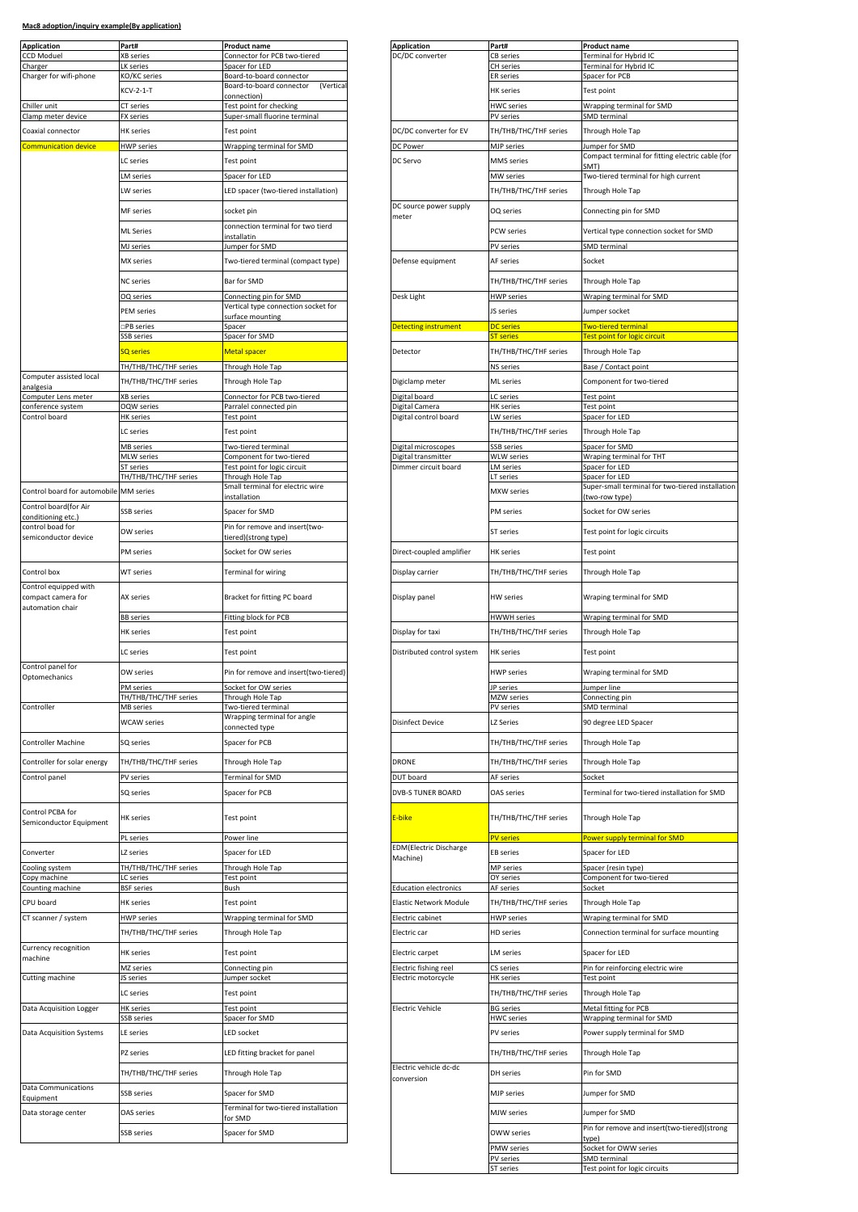| <b>Application</b>                                              | Part#                              | <b>Product name</b>                                      | <b>Application</b>                           | Part#                              | <b>Product name</b>                               |
|-----------------------------------------------------------------|------------------------------------|----------------------------------------------------------|----------------------------------------------|------------------------------------|---------------------------------------------------|
| <b>CCD Moduel</b>                                               | XB series                          | Connector for PCB two-tiered                             | DC/DC converter                              | CB series                          | Terminal for Hybrid IC                            |
| Charger<br>Charger for wifi-phone                               | LK series<br>KO/KC series          | Spacer for LED<br>Board-to-board connector               |                                              | CH series<br>ER series             | Terminal for Hybrid IC<br>Spacer for PCB          |
|                                                                 | KCV-2-1-T                          | Board-to-board connector<br>(Vertica                     |                                              | HK series                          | Test point                                        |
|                                                                 |                                    | connection)                                              |                                              |                                    |                                                   |
| Chiller unit<br>Clamp meter device                              | CT series<br>FX series             | Test point for checking<br>Super-small fluorine terminal |                                              | HWC series<br>PV series            | Wrapping terminal for SMD<br>SMD terminal         |
| Coaxial connector                                               | HK series                          | Test point                                               | DC/DC converter for EV                       | TH/THB/THC/THF series              | Through Hole Tap                                  |
| Communication device                                            | <b>HWP</b> series                  | Wrapping terminal for SMD                                | DC Power                                     | MJP series                         | Jumper for SMD                                    |
|                                                                 | LC series                          | Test point                                               | DC Servo                                     | MMS series                         | Compact terminal for fitting ele                  |
|                                                                 |                                    |                                                          |                                              |                                    | SMT)                                              |
|                                                                 | <b>M</b> series                    | Spacer for LED                                           |                                              | MW series                          | Two-tiered terminal for high cu                   |
|                                                                 | LW series<br>MF series             | LED spacer (two-tiered installation)<br>socket pin       | DC source power supply                       | TH/THB/THC/THF series<br>OQ series | Through Hole Tap<br>Connecting pin for SMD        |
|                                                                 |                                    |                                                          | meter                                        |                                    |                                                   |
|                                                                 | <b>ML</b> Series                   | connection terminal for two tierd<br>installatin         |                                              | PCW series                         | Vertical type connection socke                    |
|                                                                 | MJ series                          | Jumper for SMD                                           |                                              | PV series                          | SMD terminal                                      |
|                                                                 | MX series                          | Two-tiered terminal (compact type)                       | Defense equipment                            | AF series                          | Socket                                            |
|                                                                 | <b>NC</b> series                   | Bar for SMD                                              |                                              | TH/THB/THC/THF series              | Through Hole Tap                                  |
|                                                                 | OQ series                          | Connecting pin for SMD                                   | Desk Light                                   | <b>HWP series</b>                  | Wraping terminal for SMD                          |
|                                                                 | PEM series                         | Vertical type connection socket for                      |                                              | JS series                          | Jumper socket                                     |
|                                                                 | PB series                          | surface mounting<br>Spacer                               | Detecting instrument                         | <b>DC</b> series                   | <b>Two-tiered terminal</b>                        |
|                                                                 | SSB series                         | Spacer for SMD                                           |                                              | <b>T</b> series                    | Test point for logic circuit                      |
|                                                                 | <b>SQ</b> series                   | Metal spacer                                             | Detector                                     | TH/THB/THC/THF series              | Through Hole Tap                                  |
|                                                                 | TH/THB/THC/THF series              | Through Hole Tap                                         |                                              | NS series                          | Base / Contact point                              |
| Computer assisted local                                         | TH/THB/THC/THF series              | Through Hole Tap                                         | Digiclamp meter                              | ML series                          | Component for two-tiered                          |
| analgesia<br>Computer Lens meter                                | XB series                          | Connector for PCB two-tiered                             | Digital board                                | LC series                          | Test point                                        |
| conference system                                               | OQW series                         | Parralel connected pin                                   | Digital Camera                               | <b>HK</b> series                   | Test point                                        |
| Control board                                                   | <b>HK</b> series                   | Test point                                               | Digital control board                        | LW series                          | Spacer for LED                                    |
|                                                                 | LC series                          | Test point                                               |                                              | TH/THB/THC/THF series              | Through Hole Tap                                  |
|                                                                 | MB series                          | Two-tiered terminal<br>Component for two-tiered          | Digital microscopes<br>Digital transmitter   | SSB series                         | Spacer for SMD                                    |
|                                                                 | MLW series<br>ST series            | Test point for logic circuit                             | Dimmer circuit board                         | <b>WLW</b> series<br>LM series     | Wraping terminal for THT<br>Spacer for LED        |
|                                                                 | TH/THB/THC/THF series              | Through Hole Tap                                         |                                              | LT series                          | Spacer for LED                                    |
| Control board for automobile MM series                          |                                    | Small terminal for electric wire<br>installation         |                                              | MXW series                         | Super-small terminal for two-ti<br>(two-row type) |
| Control board(for Air<br>conditioning etc.)                     | SSB series                         | Spacer for SMD                                           |                                              | PM series                          | Socket for OW series                              |
| control boad for<br>semiconductor device                        | OW series                          | Pin for remove and insert(two-<br>tiered)(strong type)   |                                              | ST series                          | Test point for logic circuits                     |
|                                                                 | PM series                          | Socket for OW series                                     | Direct-coupled amplifier                     | <b>HK</b> series                   | Test point                                        |
| Control box                                                     | WT series                          | <b>Terminal for wiring</b>                               | Display carrier                              | TH/THB/THC/THF series              | Through Hole Tap                                  |
| Control equipped with<br>compact camera for<br>automation chair | AX series                          | Bracket for fitting PC board                             | Display panel                                | <b>HW</b> series                   | Wraping terminal for SMD                          |
|                                                                 | <b>BB</b> series                   | Fitting block for PCB                                    |                                              | HWWH series                        | Wraping terminal for SMD                          |
|                                                                 | <b>HK</b> series                   | Test point                                               | Display for taxi                             | TH/THB/THC/THF series              | Through Hole Tap                                  |
| Control panel for                                               | C series                           | Test point                                               | Distributed control system                   | <b>HK</b> series                   | Test point                                        |
| Optomechanics                                                   | OW series                          | Pin for remove and insert(two-tiered)                    |                                              | <b>HWP</b> series                  | Wraping terminal for SMD                          |
|                                                                 | PM series<br>TH/THB/THC/THF series | Socket for OW series<br>Through Hole Tap                 |                                              | IP series<br>MZW series            | Jumper line                                       |
| Controller                                                      | <b>MB</b> series                   | Two-tiered terminal                                      |                                              | PV series                          | Connecting pin<br>SMD terminal                    |
|                                                                 | <b>WCAW</b> series                 | Wrapping terminal for angle                              | <b>Disinfect Device</b>                      | LZ Series                          | 90 degree LED Spacer                              |
| Controller Machine                                              | SQ series                          | connected type<br>Spacer for PCB                         |                                              | TH/THB/THC/THF series              | Through Hole Tap                                  |
| Controller for solar energy                                     | TH/THB/THC/THF series              | Through Hole Tap                                         | DRONE                                        | TH/THB/THC/THF series              | Through Hole Tap                                  |
| Control panel                                                   | PV series                          | Terminal for SMD                                         | DUT board                                    | AF series                          | Socket                                            |
|                                                                 | SQ series                          | Spacer for PCB                                           | <b>DVB-S TUNER BOARD</b>                     | OAS series                         | Terminal for two-tiered installa                  |
| Control PCBA for                                                | <b>HK</b> series                   | <b>Test point</b>                                        | E-bike                                       | TH/THB/THC/THF series              | Through Hole Tap                                  |
| Semiconductor Equipment                                         |                                    |                                                          |                                              | <b>PV</b> series                   | Power supply terminal for SMD                     |
|                                                                 |                                    |                                                          | <b>EDM</b> (Electric Discharge               |                                    |                                                   |
| Converter                                                       | PL series                          | Power line                                               |                                              |                                    |                                                   |
|                                                                 | LZ series                          | Spacer for LED                                           | Machine)                                     | <b>EB</b> series                   | Spacer for LED                                    |
| Cooling system                                                  | TH/THB/THC/THF series              | Through Hole Tap                                         |                                              | MP series                          | Spacer (resin type)                               |
| Copy machine<br>Counting machine                                | LC series<br><b>BSF</b> series     | Test point<br>Bush                                       | <b>Education electronics</b>                 | OY series<br>AF series             | Component for two-tiered<br>Socket                |
| CPU board                                                       | <b>HK</b> series                   | Test point                                               | Elastic Network Module                       | TH/THB/THC/THF series              | Through Hole Tap                                  |
| CT scanner / system                                             | <b>HWP</b> series                  | Wrapping terminal for SMD                                | Electric cabinet                             | <b>HWP</b> series                  | Wraping terminal for SMD                          |
|                                                                 | TH/THB/THC/THF series              | Through Hole Tap                                         | Electric car                                 | HD series                          | Connection terminal for surfac                    |
| Currency recognition                                            | <b>HK</b> series                   | Test point                                               | Electric carpet                              | LM series                          | Spacer for LED                                    |
| machine                                                         | <b>MZ</b> series                   |                                                          |                                              |                                    |                                                   |
| Cutting machine                                                 | JS series                          | Connecting pin<br>Jumper socket                          | Electric fishing reel<br>Electric motorcycle | CS series<br>HK series             | Pin for reinforcing electric wire<br>Test point   |
|                                                                 | C series                           | Test point                                               |                                              | TH/THB/THC/THF series              | Through Hole Tap                                  |
| Data Acquisition Logger                                         | <b>HK</b> series                   | Test point                                               | <b>Electric Vehicle</b>                      | <b>BG</b> series                   | Metal fitting for PCB                             |
|                                                                 | SSB series                         | Spacer for SMD                                           |                                              | <b>HWC</b> series                  | Wrapping terminal for SMD                         |
| <b>Data Acquisition Systems</b>                                 | LE series                          | LED socket                                               |                                              | PV series                          | Power supply terminal for SMD                     |
|                                                                 | PZ series                          | LED fitting bracket for panel                            |                                              | TH/THB/THC/THF series              | Through Hole Tap                                  |
|                                                                 | TH/THB/THC/THF series              | Through Hole Tap                                         | Electric vehicle dc-dc<br>conversion         | DH series                          | Pin for SMD                                       |
| <b>Data Communications</b><br>Equipment                         | <b>SSB</b> series                  | Spacer for SMD                                           |                                              | <b>MJP</b> series                  | Jumper for SMD                                    |
| Data storage center                                             | OAS series                         | Terminal for two-tiered installation<br>for SMD          |                                              | MJW series                         | Jumper for SMD                                    |

| Part#<br>XB series                                                                                                                                                                                                                                                                                                                                                                                                                                                                                                                | Product name<br>Connector for PCB two-tiered                  | <b>Application</b><br>DC/DC converter      | Part#                                 | Product name<br>Terminal for Hybrid IC                             |
|-----------------------------------------------------------------------------------------------------------------------------------------------------------------------------------------------------------------------------------------------------------------------------------------------------------------------------------------------------------------------------------------------------------------------------------------------------------------------------------------------------------------------------------|---------------------------------------------------------------|--------------------------------------------|---------------------------------------|--------------------------------------------------------------------|
| LK series                                                                                                                                                                                                                                                                                                                                                                                                                                                                                                                         | Spacer for LED                                                |                                            | <b>CB</b> series<br><b>CH</b> series  | Terminal for Hybrid IC                                             |
| KO/KC series                                                                                                                                                                                                                                                                                                                                                                                                                                                                                                                      | Board-to-board connector                                      |                                            | <b>ER</b> series                      | Spacer for PCB                                                     |
| KCV-2-1-T                                                                                                                                                                                                                                                                                                                                                                                                                                                                                                                         | Board-to-board connector<br>(Vertica<br>connection)           |                                            | HK series                             | Test point                                                         |
| CT series                                                                                                                                                                                                                                                                                                                                                                                                                                                                                                                         | <b>Test point for checking</b>                                |                                            | HWC series                            | Wrapping terminal for SMD                                          |
| FX series                                                                                                                                                                                                                                                                                                                                                                                                                                                                                                                         | Super-small fluorine terminal                                 |                                            | PV series                             | SMD terminal                                                       |
| HK series                                                                                                                                                                                                                                                                                                                                                                                                                                                                                                                         | Test point                                                    | DC/DC converter for EV                     | TH/THB/THC/THF series                 | Through Hole Tap                                                   |
| <b>HWP</b> series                                                                                                                                                                                                                                                                                                                                                                                                                                                                                                                 | Wrapping terminal for SMD                                     | DC Power                                   | MJP series                            | Jumper for SMD                                                     |
| LC series                                                                                                                                                                                                                                                                                                                                                                                                                                                                                                                         | Test point                                                    | DC Servo                                   | MMS series                            | Compact terminal for fitting electric cable (for<br>SMT)           |
| LM series                                                                                                                                                                                                                                                                                                                                                                                                                                                                                                                         | Spacer for LED                                                |                                            | MW series                             | Two-tiered terminal for high current                               |
| LW series                                                                                                                                                                                                                                                                                                                                                                                                                                                                                                                         | LED spacer (two-tiered installation)                          |                                            | TH/THB/THC/THF series                 | Through Hole Tap                                                   |
|                                                                                                                                                                                                                                                                                                                                                                                                                                                                                                                                   |                                                               | DC source power supply                     |                                       |                                                                    |
| MF series                                                                                                                                                                                                                                                                                                                                                                                                                                                                                                                         | socket pin                                                    | meter                                      | OQ series                             | Connecting pin for SMD                                             |
| ML Series                                                                                                                                                                                                                                                                                                                                                                                                                                                                                                                         | connection terminal for two tierd<br>installatin              |                                            | PCW series                            | Vertical type connection socket for SMD                            |
| MJ series                                                                                                                                                                                                                                                                                                                                                                                                                                                                                                                         | lumper for SMD                                                |                                            | PV series                             | SMD terminal                                                       |
| MX series                                                                                                                                                                                                                                                                                                                                                                                                                                                                                                                         | Two-tiered terminal (compact type)                            | Defense equipment                          | AF series                             | Socket                                                             |
|                                                                                                                                                                                                                                                                                                                                                                                                                                                                                                                                   |                                                               |                                            |                                       |                                                                    |
| NC series                                                                                                                                                                                                                                                                                                                                                                                                                                                                                                                         | Bar for SMD                                                   |                                            | TH/THB/THC/THF series                 | Through Hole Tap                                                   |
| OQ series                                                                                                                                                                                                                                                                                                                                                                                                                                                                                                                         | Connecting pin for SMD<br>Vertical type connection socket for | Desk Light                                 | <b>HWP</b> series                     | Wraping terminal for SMD                                           |
| <b>PEM</b> series                                                                                                                                                                                                                                                                                                                                                                                                                                                                                                                 | surface mounting                                              |                                            | JS series                             | Jumper socket                                                      |
| □PB series                                                                                                                                                                                                                                                                                                                                                                                                                                                                                                                        | Spacer                                                        | Detecting instrument                       | <b>DC</b> series                      | <b>Two-tiered terminal</b>                                         |
| SSB series                                                                                                                                                                                                                                                                                                                                                                                                                                                                                                                        | Spacer for SMD                                                |                                            | <b>ST</b> series                      | Test point for logic circuit                                       |
| <b>SQ</b> series                                                                                                                                                                                                                                                                                                                                                                                                                                                                                                                  | Metal spacer                                                  | Detector                                   | TH/THB/THC/THF series                 | Through Hole Tap                                                   |
| TH/THB/THC/THF series                                                                                                                                                                                                                                                                                                                                                                                                                                                                                                             | Through Hole Tap                                              |                                            | NS series                             | Base / Contact point                                               |
| TH/THB/THC/THF series                                                                                                                                                                                                                                                                                                                                                                                                                                                                                                             | Through Hole Tap                                              | Digiclamp meter                            | ML series                             | Component for two-tiered                                           |
| XB series                                                                                                                                                                                                                                                                                                                                                                                                                                                                                                                         | Connector for PCB two-tiered                                  | Digital board                              | LC series                             | Test point                                                         |
| OQW series<br>HK series                                                                                                                                                                                                                                                                                                                                                                                                                                                                                                           | Parralel connected pin<br>Test point                          | Digital Camera<br>Digital control board    | <b>HK</b> series<br>LW series         | Test point<br>Spacer for LED                                       |
| LC series                                                                                                                                                                                                                                                                                                                                                                                                                                                                                                                         | Test point                                                    |                                            | TH/THB/THC/THF series                 | Through Hole Tap                                                   |
|                                                                                                                                                                                                                                                                                                                                                                                                                                                                                                                                   |                                                               |                                            | <b>SSB</b> series                     |                                                                    |
| MB series<br>MLW series                                                                                                                                                                                                                                                                                                                                                                                                                                                                                                           | Two-tiered terminal<br>Component for two-tiered               | Digital microscopes<br>Digital transmitter | <b>WLW</b> series                     | Spacer for SMD<br>Wraping terminal for THT                         |
| ST series                                                                                                                                                                                                                                                                                                                                                                                                                                                                                                                         | Fest point for logic circuit                                  | Dimmer circuit board                       | LM series                             | Spacer for LED                                                     |
| TH/THB/THC/THF series                                                                                                                                                                                                                                                                                                                                                                                                                                                                                                             | Through Hole Tap<br>Small terminal for electric wire          |                                            | LT series                             | Spacer for LED<br>Super-small terminal for two-tiered installation |
| MM series                                                                                                                                                                                                                                                                                                                                                                                                                                                                                                                         | nstallation                                                   |                                            | MXW series                            | two-row type)                                                      |
| SSB series                                                                                                                                                                                                                                                                                                                                                                                                                                                                                                                        | Spacer for SMD                                                |                                            | PM series                             | Socket for OW series                                               |
| OW series                                                                                                                                                                                                                                                                                                                                                                                                                                                                                                                         | Pin for remove and insert(two-                                |                                            |                                       |                                                                    |
|                                                                                                                                                                                                                                                                                                                                                                                                                                                                                                                                   | tiered)(strong type)                                          |                                            | ST series                             | Test point for logic circuits                                      |
| PM series                                                                                                                                                                                                                                                                                                                                                                                                                                                                                                                         | Socket for OW series                                          | Direct-coupled amplifier                   | <b>HK</b> series                      | Test point                                                         |
| WT series                                                                                                                                                                                                                                                                                                                                                                                                                                                                                                                         | Terminal for wiring                                           | Display carrier                            | TH/THB/THC/THF series                 | Through Hole Tap                                                   |
|                                                                                                                                                                                                                                                                                                                                                                                                                                                                                                                                   | Bracket for fitting PC board                                  |                                            |                                       | Wraping terminal for SMD                                           |
|                                                                                                                                                                                                                                                                                                                                                                                                                                                                                                                                   |                                                               | Display panel                              | <b>HW</b> series                      |                                                                    |
|                                                                                                                                                                                                                                                                                                                                                                                                                                                                                                                                   | Fitting block for PCB                                         |                                            | HWWH series                           | Wraping terminal for SMD                                           |
|                                                                                                                                                                                                                                                                                                                                                                                                                                                                                                                                   | Test point                                                    | Display for taxi                           | TH/THB/THC/THF series                 | Through Hole Tap                                                   |
|                                                                                                                                                                                                                                                                                                                                                                                                                                                                                                                                   | Test point                                                    | Distributed control system                 | HK series                             | Test point                                                         |
|                                                                                                                                                                                                                                                                                                                                                                                                                                                                                                                                   |                                                               |                                            |                                       |                                                                    |
|                                                                                                                                                                                                                                                                                                                                                                                                                                                                                                                                   | Pin for remove and insert(two-tiered)                         |                                            | <b>HWP</b> series                     | Wraping terminal for SMD                                           |
|                                                                                                                                                                                                                                                                                                                                                                                                                                                                                                                                   | Socket for OW series<br>Through Hole Tap                      |                                            | JP series<br>MZW series               | Jumper line<br>Connecting pin                                      |
|                                                                                                                                                                                                                                                                                                                                                                                                                                                                                                                                   | Two-tiered terminal                                           |                                            | PV series                             | <b>SMD</b> terminal                                                |
|                                                                                                                                                                                                                                                                                                                                                                                                                                                                                                                                   | Wrapping terminal for angle                                   | Disinfect Device                           | LZ Series                             | 90 degree LED Spacer                                               |
|                                                                                                                                                                                                                                                                                                                                                                                                                                                                                                                                   | connected type                                                |                                            |                                       |                                                                    |
|                                                                                                                                                                                                                                                                                                                                                                                                                                                                                                                                   | Spacer for PCB                                                |                                            | TH/THB/THC/THF series                 | Through Hole Tap                                                   |
|                                                                                                                                                                                                                                                                                                                                                                                                                                                                                                                                   | Through Hole Tap                                              | <b>DRONE</b>                               | TH/THB/THC/THF series                 | Through Hole Tap                                                   |
|                                                                                                                                                                                                                                                                                                                                                                                                                                                                                                                                   | Terminal for SMD                                              | DUT board                                  | AF series                             | Socket                                                             |
|                                                                                                                                                                                                                                                                                                                                                                                                                                                                                                                                   | Spacer for PCB                                                | DVB-S TUNER BOARD                          | OAS series                            | Terminal for two-tiered installation for SMD                       |
|                                                                                                                                                                                                                                                                                                                                                                                                                                                                                                                                   | Test point                                                    | E-bike                                     | TH/THB/THC/THF series                 | Through Hole Tap                                                   |
|                                                                                                                                                                                                                                                                                                                                                                                                                                                                                                                                   | Power line                                                    |                                            | <b>PV</b> series                      | Power supply terminal for SMD                                      |
|                                                                                                                                                                                                                                                                                                                                                                                                                                                                                                                                   |                                                               | <b>EDM</b> (Electric Discharge             |                                       |                                                                    |
|                                                                                                                                                                                                                                                                                                                                                                                                                                                                                                                                   | Spacer for LED                                                | Machine)                                   | EB series                             | Spacer for LED                                                     |
|                                                                                                                                                                                                                                                                                                                                                                                                                                                                                                                                   | Through Hole Tap<br>Test point                                |                                            | MP series<br>OY series                | Spacer (resin type)<br>Component for two-tiered                    |
|                                                                                                                                                                                                                                                                                                                                                                                                                                                                                                                                   | Bush                                                          | <b>Education electronics</b>               | AF series                             | Socket                                                             |
|                                                                                                                                                                                                                                                                                                                                                                                                                                                                                                                                   | Test point                                                    | Elastic Network Module                     | TH/THB/THC/THF series                 | Through Hole Tap                                                   |
|                                                                                                                                                                                                                                                                                                                                                                                                                                                                                                                                   | Wrapping terminal for SMD                                     | Electric cabinet                           | <b>HWP</b> series                     | Wraping terminal for SMD                                           |
|                                                                                                                                                                                                                                                                                                                                                                                                                                                                                                                                   | Through Hole Tap                                              | Electric car                               | HD series                             | Connection terminal for surface mounting                           |
|                                                                                                                                                                                                                                                                                                                                                                                                                                                                                                                                   | Test point                                                    | Electric carpet                            | <b>LM</b> series                      | Spacer for LED                                                     |
|                                                                                                                                                                                                                                                                                                                                                                                                                                                                                                                                   | Connecting pin                                                | Electric fishing reel                      | CS series                             | Pin for reinforcing electric wire                                  |
|                                                                                                                                                                                                                                                                                                                                                                                                                                                                                                                                   | Jumper socket                                                 | Electric motorcycle                        | <b>HK</b> series                      | Test point                                                         |
|                                                                                                                                                                                                                                                                                                                                                                                                                                                                                                                                   | Test point                                                    |                                            | TH/THB/THC/THF series                 | Through Hole Tap                                                   |
|                                                                                                                                                                                                                                                                                                                                                                                                                                                                                                                                   | Test point<br>Spacer for SMD                                  | <b>Electric Vehicle</b>                    | <b>BG</b> series<br><b>HWC</b> series | Metal fitting for PCB<br>Wrapping terminal for SMD                 |
|                                                                                                                                                                                                                                                                                                                                                                                                                                                                                                                                   | LED socket                                                    |                                            | PV series                             | Power supply terminal for SMD                                      |
|                                                                                                                                                                                                                                                                                                                                                                                                                                                                                                                                   | LED fitting bracket for panel                                 |                                            | TH/THB/THC/THF series                 | Through Hole Tap                                                   |
|                                                                                                                                                                                                                                                                                                                                                                                                                                                                                                                                   | Through Hole Tap                                              | Electric vehicle dc-dc                     | DH series                             | Pin for SMD                                                        |
| AX series<br><u>BB series</u><br>HK series<br>LC series<br>OW series<br>PM series<br>TH/THB/THC/THF series<br>MB series<br><b>WCAW</b> series<br>SQ series<br>TH/THB/THC/THF series<br>PV series<br>SQ series<br>HK series<br>PL series<br>LZ series<br>TH/THB/THC/THF series<br>LC series<br><b>BSF</b> series<br>HK series<br><b>HWP</b> series<br>TH/THB/THC/THF series<br>HK series<br>MZ series<br>JS series<br>LC series<br><b>HK</b> series<br>SSB series<br>LE series<br>PZ series<br>TH/THB/THC/THF series<br>SSB series | Spacer for SMD                                                | conversion                                 | MJP series                            | Jumper for SMD                                                     |
|                                                                                                                                                                                                                                                                                                                                                                                                                                                                                                                                   | Terminal for two-tiered installation                          |                                            |                                       |                                                                    |
| OAS series                                                                                                                                                                                                                                                                                                                                                                                                                                                                                                                        | for SMD                                                       |                                            | MJW series                            | Jumper for SMD                                                     |
| SSB series                                                                                                                                                                                                                                                                                                                                                                                                                                                                                                                        | Spacer for SMD                                                |                                            | OWW series                            | Pin for remove and insert(two-tiered)(strong<br>tvpe               |
|                                                                                                                                                                                                                                                                                                                                                                                                                                                                                                                                   |                                                               |                                            | PMW series<br>PV series               | Socket for OWW series<br>SMD terminal                              |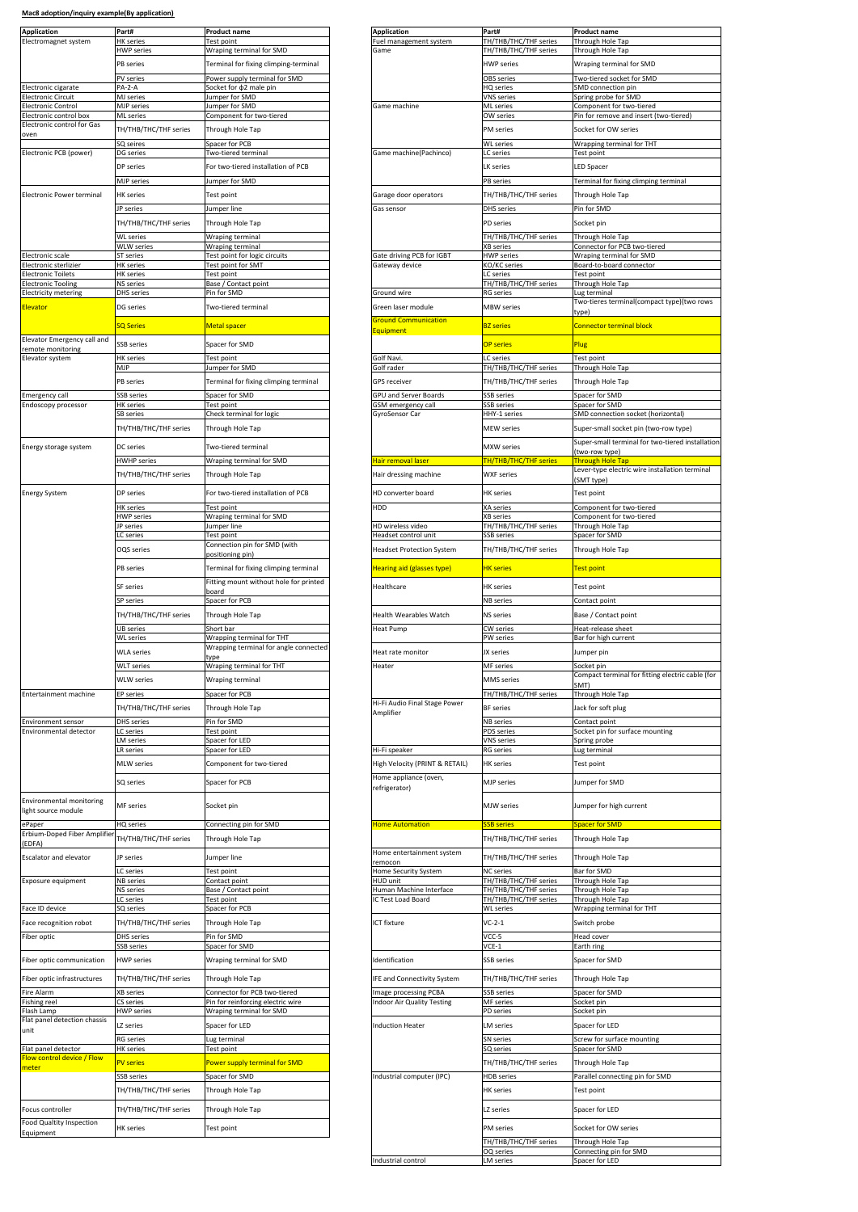| <b>Application</b>                                     | Part#                          | <b>Product name</b>                               | <b>Application</b>                           | Part#                                                           | <b>Product name</b>                                      |
|--------------------------------------------------------|--------------------------------|---------------------------------------------------|----------------------------------------------|-----------------------------------------------------------------|----------------------------------------------------------|
| Electromagnet system                                   | <b>HK</b> series<br>HWP series | Test point<br>Wraping terminal for SMD            | Fuel management system<br>Game               | TH/THB/THC/THF series<br>TH/THB/THC/THF series                  | Through Hole Tap<br>Through Hole Tap                     |
|                                                        |                                |                                                   |                                              |                                                                 |                                                          |
|                                                        | PB series                      | Terminal for fixing climping-terminal             |                                              | <b>HWP</b> series                                               | Wraping terminal for SMD                                 |
|                                                        | PV series<br>PA-2-A            | Power supply terminal for SMD                     |                                              | <b>OBS</b> series                                               | Two-tiered socket for SMD<br>SMD connection pin          |
| Electronic cigarate<br>Electronic Circuit              | MJ series                      | Socket for $\phi$ 2 male pin<br>umper for SMD     |                                              | HQ series<br>VNS series                                         | Spring probe for SMD                                     |
| Electronic Control                                     | MJP series                     | Jumper for SMD                                    | Game machine                                 | ML series                                                       | Component for two-tiered                                 |
| Electronic control box<br>Electronic control for Gas   | ML series                      | Component for two-tiered                          |                                              | OW series                                                       | Pin for remove and insert (two-                          |
| oven                                                   | TH/THB/THC/THF series          | Through Hole Tap                                  |                                              | PM series                                                       | Socket for OW series                                     |
| Electronic PCB (power)                                 | SQ seires                      | Spacer for PCB                                    |                                              | <b>WL</b> series                                                | Wrapping terminal for THT                                |
|                                                        | DG series                      | Two-tiered terminal                               | Game machine(Pachinco)                       | LC series                                                       | <b>Test point</b>                                        |
|                                                        | DP series                      | For two-tiered installation of PCB                |                                              | LK series                                                       | <b>LED Spacer</b>                                        |
|                                                        | MJP series                     | Jumper for SMD                                    |                                              | PB series                                                       | Terminal for fixing climping terr                        |
| Electronic Power terminal                              | <b>HK</b> series               | Test point                                        | Garage door operators                        | TH/THB/THC/THF series                                           | Through Hole Tap                                         |
|                                                        | IP series                      | Jumper line                                       | Gas sensor                                   | DHS series                                                      | Pin for SMD                                              |
|                                                        | TH/THB/THC/THF series          | Through Hole Tap                                  |                                              | PD series                                                       | Socket pin                                               |
|                                                        | WL series                      | Wraping terminal                                  |                                              | TH/THB/THC/THF series                                           | Through Hole Tap                                         |
| Electronic scale                                       | WLW series<br><b>ST</b> series | Wraping terminal<br>Test point for logic circuits | Gate driving PCB for IGBT                    | <b>XB</b> series<br><b>HWP</b> series                           | Connector for PCB two-tiered<br>Wraping terminal for SMD |
| Electronic sterlizier                                  | <b>HK</b> series               | Test point for SMT                                | Gateway device                               | <o kc="" series<="" td=""><td>Board-to-board connector</td></o> | Board-to-board connector                                 |
| <b>Electronic Toilets</b><br>Electronic Tooling        | <b>HK</b> series<br>NS series  | <b>Fest point</b><br>Base / Contact point         |                                              | LC series<br>TH/THB/THC/THF series                              | Test point<br>Through Hole Tap                           |
| <b>Electricity metering</b>                            | <b>DHS</b> series              | Pin for SMD                                       | Ground wire                                  | <b>RG</b> series                                                | Lug terminal                                             |
| Elevator                                               | DG series                      | Two-tiered terminal                               | Green laser module                           | <b>MBW</b> series                                               | Two-tieres terminal(compact ty                           |
|                                                        | SQ Series                      |                                                   | <b>Sround Communication</b>                  |                                                                 | type)                                                    |
|                                                        |                                | Metal spacer                                      | quipment                                     | <b>BZ</b> series                                                | Connector terminal block                                 |
| Elevator Emergency call and<br>remote monitoring       | SSB series                     | Spacer for SMD                                    |                                              | <b>OP series</b>                                                | Plug                                                     |
| Elevator system                                        | HK series                      | Test point                                        | Golf Navi                                    | LC series                                                       | <b>Test point</b>                                        |
|                                                        | MJP                            | Jumper for SMD                                    | Golf rader                                   | TH/THB/THC/THF series                                           | Through Hole Tap                                         |
|                                                        | PB series                      | Terminal for fixing climping terminal             | GPS receiver                                 | TH/THB/THC/THF series                                           | Through Hole Tap                                         |
| Emergency call                                         | SSB series                     | Spacer for SMD                                    | <b>GPU and Server Boards</b>                 | SSB series                                                      | Spacer for SMD                                           |
| Endoscopy processor                                    | <b>HK</b> series<br>SB series  | Test point<br>Check terminal for logic            | GSM emergency call<br>GyroSensor Car         | SSB series<br>HHY-1 series                                      | Spacer for SMD<br>SMD connection socket (horizo          |
|                                                        | TH/THB/THC/THF series          | Through Hole Tap                                  |                                              | <b>MEW</b> series                                               | Super-small socket pin (two-rov                          |
|                                                        |                                |                                                   |                                              |                                                                 | Super-small terminal for two-tie                         |
| Energy storage system                                  | DC series                      | Two-tiered terminal                               |                                              | MXW series                                                      | (two-row type)                                           |
|                                                        | HWHP series                    | Wraping terminal for SMD                          | Hair removal laser                           | TH/THB/THC/THF series                                           | Through Hole Tap                                         |
|                                                        | TH/THB/THC/THF series          | Through Hole Tap                                  | Hair dressing machine                        | <b>WXF</b> series                                               | Lever-type electric wire installa<br>(SMT type)          |
| <b>Energy System</b>                                   | DP series                      | For two-tiered installation of PCB                | HD converter board                           | <b>HK</b> series                                                | Test point                                               |
|                                                        | <b>HK</b> series               | Test point                                        | HDD                                          | XA series                                                       | Component for two-tiered                                 |
|                                                        | <b>HWP</b> series              | Wraping terminal for SMD                          |                                              | XB series                                                       | Component for two-tiered                                 |
|                                                        | IP series                      | Jumper line                                       | HD wireless video                            | TH/THB/THC/THF series                                           | Through Hole Tap                                         |
|                                                        | LC series                      | Test point<br>Connection pin for SMD (with        | Headset control unit                         | SSB series                                                      | Spacer for SMD                                           |
|                                                        | OQS series                     | positioning pin)                                  | <b>Headset Protection System</b>             | TH/THB/THC/THF series                                           | Through Hole Tap                                         |
|                                                        | PB series                      | Terminal for fixing climping terminal             | Hearing aid (glasses type)                   | <b>HK</b> series                                                | Test point                                               |
|                                                        | SF series                      | Fitting mount without hole for printed            | Healthcare                                   | <b>HK</b> series                                                |                                                          |
|                                                        |                                | board                                             |                                              |                                                                 | Test point                                               |
|                                                        | SP series                      | Spacer for PCB                                    |                                              | NB series                                                       | Contact point                                            |
|                                                        | TH/THB/THC/THF series          | Through Hole Tap                                  | Health Wearables Watch                       | NS series                                                       | Base / Contact point                                     |
|                                                        | UB series<br><b>WL</b> series  | Short bar<br>Wrapping terminal for THT            | <b>Heat Pump</b>                             | CW series<br>PW series                                          | Heat-release sheet<br>Bar for high current               |
|                                                        | <b>WLA series</b>              | Wrapping terminal for angle connected             | Heat rate monitor                            | JX series                                                       |                                                          |
|                                                        |                                | type                                              | Heater                                       |                                                                 | Jumper pin<br>Socket pin                                 |
|                                                        | <b>WLT</b> series              | Wraping terminal for THT                          |                                              | MF series                                                       | Compact terminal for fitting ele                         |
|                                                        | <b>WLW series</b>              | Wraping terminal                                  |                                              | MMS series                                                      | SMT)                                                     |
| Entertainment machine                                  | EP series                      | Spacer for PCB                                    | Hi-Fi Audio Final Stage Power                | TH/THB/THC/THF series                                           | Through Hole Tap                                         |
|                                                        | TH/THB/THC/THF series          | Through Hole Tap                                  | Amplifier                                    | <b>BF</b> series                                                | Jack for soft plug                                       |
| Environment sensor<br>Environmental detector           | DHS series                     | Pin for SMD                                       |                                              | NB series                                                       | Contact point<br>Socket pin for surface mounting         |
|                                                        | LC series<br>LM series         | Test point<br>Spacer for LED                      |                                              | PDS series<br><b>VNS</b> series                                 | Spring probe                                             |
|                                                        | R series                       | Spacer for LED                                    | Hi-Fi speaker                                | <b>RG</b> series                                                | Lug terminal                                             |
|                                                        | MLW series                     | Component for two-tiered                          | High Velocity (PRINT & RETAIL)               | <b>HK</b> series                                                | Test point                                               |
|                                                        | SQ series                      | Spacer for PCB                                    | Home appliance (oven,                        | <b>MJP</b> series                                               | Jumper for SMD                                           |
|                                                        |                                |                                                   | refrigerator)                                |                                                                 |                                                          |
| <b>Environmental monitoring</b><br>light source module | MF series                      | Socket pin                                        |                                              | MJW series                                                      | Jumper for high current                                  |
|                                                        |                                |                                                   |                                              |                                                                 |                                                          |
| ePaper<br>Erbium-Doped Fiber Amplifier                 | HQ series                      | Connecting pin for SMD                            | <b>Home Automation</b>                       | <b>SB</b> serie                                                 | Spacer for SMD                                           |
| (EDFA)                                                 | TH/THB/THC/THF series          | Through Hole Tap                                  |                                              | TH/THB/THC/THF series                                           | Through Hole Tap                                         |
| <b>Escalator and elevator</b>                          | JP series                      | Jumper line                                       | Home entertainment system<br>remocon         | TH/THB/THC/THF series                                           | Through Hole Tap                                         |
|                                                        | C series                       | Test point                                        | Home Security System                         | <b>NC</b> series                                                | Bar for SMD                                              |
| Exposure equipment                                     | <b>NB</b> series               | Contact point                                     | HUD unit                                     | TH/THB/THC/THF series                                           | Through Hole Tap                                         |
|                                                        | NS series<br>C series          | Base / Contact point<br>Test point                | Human Machine Interface<br>C Test Load Board | TH/THB/THC/THF series<br>TH/THB/THC/THF series                  | Through Hole Tap<br>Through Hole Tap                     |
| Face ID device                                         | GQ series                      | Spacer for PCB                                    |                                              | <b>WL</b> series                                                | Wrapping terminal for THT                                |
| Face recognition robot                                 | TH/THB/THC/THF series          | Through Hole Tap                                  | ICT fixture                                  | $VC-2-1$                                                        | Switch probe                                             |
| Fiber optic                                            | DHS series                     | Pin for SMD                                       |                                              | $VCC-5$                                                         | Head cover                                               |
|                                                        | SSB series                     | Spacer for SMD                                    |                                              | $VCE-1$                                                         | Earth ring                                               |
| Fiber optic communication                              | <b>HWP</b> series              | Wraping terminal for SMD                          | Identification                               | SSB series                                                      | Spacer for SMD                                           |
| Fiber optic infrastructures                            | TH/THB/THC/THF series          | Through Hole Tap                                  | IFE and Connectivity System                  | TH/THB/THC/THF series                                           | Through Hole Tap                                         |
| Fire Alarm                                             | XB series                      | Connector for PCB two-tiered                      | Image processing PCBA                        | SSB series                                                      | Spacer for SMD                                           |
| Fishing reel                                           | CS series                      | Pin for reinforcing electric wire                 | Indoor Air Quality Testing                   | MF series                                                       | Socket pin                                               |
| Flash Lamp                                             | <b>HWP</b> series              | Wraping terminal for SMD                          |                                              | PD series                                                       | Socket pin                                               |
| Flat panel detection chassis<br>unit                   | LZ series                      | Spacer for LED                                    | <b>Induction Heater</b>                      | <b>LM</b> series                                                | Spacer for LED                                           |
|                                                        | RG series                      | ug terminal                                       |                                              | SN series                                                       | Screw for surface mounting                               |
| Flat panel detector<br>Flow control device / Flow      | <b>HK</b> series               | Test point                                        |                                              | SQ series                                                       | Spacer for SMD                                           |
| meter                                                  | <b>PV</b> series               | Power supply terminal for SMD                     |                                              | TH/THB/THC/THF series                                           | Through Hole Tap                                         |
|                                                        | SSB series                     | Spacer for SMD                                    | Industrial computer (IPC)                    | <b>HDB</b> series                                               | Parallel connecting pin for SMD                          |
|                                                        | TH/THB/THC/THF series          | Through Hole Tap                                  |                                              | <b>HK</b> series                                                | Test point                                               |
| Focus controller                                       | TH/THB/THC/THF series          | Through Hole Tap                                  |                                              | LZ series                                                       | Spacer for LED                                           |
| Food Qualtity Inspection                               |                                |                                                   |                                              |                                                                 |                                                          |
| Equipment                                              | <b>HK</b> series               | Test point                                        |                                              | PM series                                                       | Socket for OW series<br>The conceler that is To          |
|                                                        |                                |                                                   |                                              | TH /THD /THC /THE corio                                         |                                                          |

| <b>Application</b>                                                                                 |                               |                                                     |        |                                             |                                     |                                                                           |
|----------------------------------------------------------------------------------------------------|-------------------------------|-----------------------------------------------------|--------|---------------------------------------------|-------------------------------------|---------------------------------------------------------------------------|
|                                                                                                    | Part#                         | Product name                                        |        | <b>Application</b>                          | Part#                               | Product name                                                              |
| Electromagnet system                                                                               | <b>K</b> series               | Test point                                          |        | uel management system                       | TH/THB/THC/THF series               | Through Hole Tap                                                          |
|                                                                                                    | <b>HWP</b> series             | Wraping terminal for SMD                            | Game   |                                             | TH/THB/THC/THF series               | Through Hole Tap                                                          |
|                                                                                                    | PB series                     | Terminal for fixing climping-terminal               |        |                                             | <b>HWP</b> series                   | Wraping terminal for SMD                                                  |
|                                                                                                    | PV series                     | Power supply terminal for SMD                       |        |                                             | <b>OBS</b> series                   | Two-tiered socket for SMD                                                 |
| Electronic cigarate                                                                                | PA-2-A                        | Socket for $\phi$ 2 male pin                        |        |                                             | HQ series                           | SMD connection pin                                                        |
| <b>Electronic Circuit</b>                                                                          | <b>MJ</b> series              | Jumper for SMD                                      |        |                                             | VNS series                          | Spring probe for SMD                                                      |
| <b>Electronic Control</b>                                                                          | MJP series                    | lumper for SMD                                      |        | Game machine                                | ML series                           | Component for two-tiered                                                  |
| Electronic control box                                                                             | ML series                     | Component for two-tiered                            |        |                                             | OW series                           | Pin for remove and insert (two-tiered)                                    |
| Electronic control for Gas                                                                         | TH/THB/THC/THF series         | Through Hole Tap                                    |        |                                             | PM series                           | Socket for OW series                                                      |
| oven                                                                                               | SQ seires                     | Spacer for PCB                                      |        |                                             | WL series                           | Wrapping terminal for THT                                                 |
| Electronic PCB (power)                                                                             | DG series                     | Two-tiered terminal                                 |        | Game machine(Pachinco)                      | LC series                           | Test point                                                                |
|                                                                                                    | DP series                     |                                                     |        |                                             | LK series                           |                                                                           |
|                                                                                                    |                               | For two-tiered installation of PCB                  |        |                                             |                                     | <b>LED Spacer</b>                                                         |
|                                                                                                    | <b>MJP</b> series             | Jumper for SMD                                      |        |                                             | PB series                           | Terminal for fixing climping terminal                                     |
| Electronic Power terminal                                                                          | <b>HK</b> series              | Test point                                          |        | Garage door operators                       | TH/THB/THC/THF series               | Through Hole Tap                                                          |
|                                                                                                    | JP series                     | Jumper line                                         |        | Gas sensor                                  | <b>DHS</b> series                   | Pin for SMD                                                               |
|                                                                                                    |                               |                                                     |        |                                             |                                     |                                                                           |
|                                                                                                    | TH/THB/THC/THF series         | Through Hole Tap                                    |        |                                             | PD series                           | Socket pin                                                                |
|                                                                                                    | <b>WL</b> series              | Wraping terminal                                    |        |                                             | TH/THB/THC/THF series               | Through Hole Tap                                                          |
|                                                                                                    | WLW series                    | Wraping terminal                                    |        |                                             | <b>KB</b> series                    | Connector for PCB two-tiered                                              |
| Electronic scale<br>Electronic sterlizier                                                          | ST series<br><b>HK</b> series | Fest point for logic circuits<br>Test point for SMT |        | Gate driving PCB for IGBT<br>Gateway device | <b>HWP</b> series<br>KO/KC series   | Wraping terminal for SMD<br>Board-to-board connector                      |
| <b>Electronic Toilets</b>                                                                          | HK series                     | Test point                                          |        |                                             | C series                            | Fest point                                                                |
| <b>Electronic Tooling</b>                                                                          | NS series                     | Base / Contact point                                |        |                                             | TH/THB/THC/THF series               | Through Hole Tap                                                          |
| <b>Electricity metering</b>                                                                        | DHS series                    | Pin for SMD                                         |        | Ground wire                                 | RG series                           | Lug terminal                                                              |
| <b>Elevator</b>                                                                                    | DG series                     | Two-tiered terminal                                 |        | Green laser module                          | <b>MBW</b> series                   | Two-tieres terminal(compact type)(two rows                                |
|                                                                                                    |                               |                                                     |        |                                             |                                     |                                                                           |
|                                                                                                    | SQ Series                     | Metal spacer                                        |        | <b>Ground Communication</b><br>Equipment    | <b>BZ</b> series                    | <b>Connector terminal block</b>                                           |
| Elevator Emergency call and                                                                        |                               |                                                     |        |                                             |                                     |                                                                           |
| remote monitoring                                                                                  | SSB series                    | Spacer for SMD                                      |        |                                             | <b>OP series</b>                    | Plug                                                                      |
| Elevator system                                                                                    | <b>HK</b> series              | Test point                                          |        | Golf Navi.                                  | LC series                           | Test point                                                                |
|                                                                                                    | MJP                           | lumper for SMD                                      |        | Golf rader                                  | TH/THB/THC/THF series               | Through Hole Tap                                                          |
|                                                                                                    | PB series                     | Terminal for fixing climping terminal               |        | <b>GPS</b> receiver                         | TH/THB/THC/THF series               | Through Hole Tap                                                          |
| Emergency call                                                                                     | SSB series                    | Spacer for SMD                                      |        | <b>GPU and Server Boards</b>                | SSB series                          | Spacer for SMD                                                            |
| Endoscopy processor                                                                                | HK series                     | Test point                                          |        | GSM emergency call                          | SSB series                          | Spacer for SMD                                                            |
|                                                                                                    | SB series                     | Check terminal for logic                            |        | GyroSensor Car                              | HHY-1 series                        | SMD connection socket (horizontal)                                        |
|                                                                                                    | TH/THB/THC/THF series         | Through Hole Tap                                    |        |                                             | MEW series                          | Super-small socket pin (two-row type)                                     |
|                                                                                                    |                               |                                                     |        |                                             |                                     |                                                                           |
| Energy storage system                                                                              | DC series                     | Two-tiered terminal                                 |        |                                             | MXW series                          | Super-small terminal for two-tiered installation                          |
|                                                                                                    |                               |                                                     |        |                                             |                                     | (two-row type)                                                            |
|                                                                                                    | HWHP series                   | Wraping terminal for SMD                            |        | Hair removal laser                          | TH/THB/THC/THF series               | <b>Through Hole Tap</b><br>Lever-type electric wire installation terminal |
|                                                                                                    | TH/THB/THC/THF series         | Through Hole Tap                                    |        | Hair dressing machine                       | <b>WXF</b> series                   | (SMT type)                                                                |
|                                                                                                    |                               |                                                     |        |                                             |                                     |                                                                           |
| Energy System                                                                                      | DP series                     | For two-tiered installation of PCB                  |        | HD converter board                          | HK series                           | Test point                                                                |
|                                                                                                    | <b>HK</b> series              | Test point                                          | HDD    |                                             | XA series                           | Component for two-tiered                                                  |
|                                                                                                    | <b>HWP</b> series             | Wraping terminal for SMD                            |        |                                             | <b>XB</b> series                    | Component for two-tiered                                                  |
|                                                                                                    | P series<br>C series          | Jumper line<br>Test point                           |        | HD wireless video<br>Headset control unit   | TH/THB/THC/THF series<br>SSB series | Through Hole Tap<br>Spacer for SMD                                        |
|                                                                                                    |                               | Connection pin for SMD (with                        |        |                                             |                                     |                                                                           |
|                                                                                                    | OQS series                    | oositioning pin)                                    |        | <b>Headset Protection System</b>            | TH/THB/THC/THF series               | Through Hole Tap                                                          |
|                                                                                                    | PB series                     |                                                     |        | Hearing aid (glasses type)                  |                                     |                                                                           |
|                                                                                                    |                               | Terminal for fixing climping terminal               |        |                                             | HK series                           | Test point                                                                |
|                                                                                                    | SF series                     | Fitting mount without hole for printed              |        | Healthcare                                  | HK series                           | Test point                                                                |
|                                                                                                    | SP series                     | board<br>Spacer for PCB                             |        |                                             | <b>NB</b> series                    | Contact point                                                             |
|                                                                                                    |                               |                                                     |        |                                             |                                     |                                                                           |
|                                                                                                    | TH/THB/THC/THF series         | Through Hole Tap                                    |        | Health Wearables Watch                      | NS series                           | Base / Contact point                                                      |
|                                                                                                    | <b>UB</b> series              | Short bar                                           |        | <b>Heat Pump</b>                            | CW series                           | Heat-release sheet                                                        |
|                                                                                                    | <b>WL</b> series              | Wrapping terminal for THT                           |        |                                             | PW series                           | Bar for high current                                                      |
|                                                                                                    | <b>WLA series</b>             | Wrapping terminal for angle connected               |        | Heat rate monitor                           | JX series                           | Jumper pin                                                                |
|                                                                                                    | <b>NLT</b> series             | type<br>Wraping terminal for THT                    | leater |                                             | MF series                           | Socket pin                                                                |
|                                                                                                    |                               |                                                     |        |                                             |                                     | Compact terminal for fitting electric cable (for                          |
|                                                                                                    | <b>WLW</b> series             | Wraping terminal                                    |        |                                             | MMS series                          | MT)                                                                       |
| Entertainment machine                                                                              | EP series                     | Spacer for PCB                                      |        |                                             | TH/THB/THC/THF series               | Through Hole Tap                                                          |
|                                                                                                    | TH/THB/THC/THF series         | Through Hole Tap                                    |        | Hi-Fi Audio Final Stage Power               | <b>BF</b> series                    | Jack for soft plug                                                        |
|                                                                                                    |                               |                                                     |        | Amplifier                                   | <b>NB</b> series                    |                                                                           |
| Environment sensor<br>Environmental detector                                                       | <b>DHS</b> series             | Pin for SMD                                         |        |                                             |                                     | Contact point                                                             |
|                                                                                                    |                               |                                                     |        |                                             |                                     |                                                                           |
|                                                                                                    | LC series<br>M series         | Test point<br>Spacer for LED                        |        |                                             | PDS series<br><b>VNS</b> series     | Socket pin for surface mounting<br>Spring probe                           |
|                                                                                                    | LR series                     | Spacer for LED                                      |        | Hi-Fi speaker                               | RG series                           | Lug terminal                                                              |
|                                                                                                    |                               | Component for two-tiered                            |        |                                             |                                     |                                                                           |
|                                                                                                    | <b>MLW</b> series             |                                                     |        | High Velocity (PRINT & RETAIL)              | HK series                           | Test point                                                                |
|                                                                                                    | SQ series                     | Spacer for PCB                                      |        | Home appliance (oven,                       | MJP series                          | Jumper for SMD                                                            |
|                                                                                                    |                               |                                                     |        | refrigerator)                               |                                     |                                                                           |
| Environmental monitoring                                                                           | <b>MF</b> series              | Socket pin                                          |        |                                             | MJW series                          | Jumper for high current                                                   |
| light source module                                                                                |                               |                                                     |        |                                             |                                     |                                                                           |
| ePaper                                                                                             | HQ series                     | Connecting pin for SMD                              |        | <b>Home Automation</b>                      | <b>SB</b> series                    | <b>Spacer for SMD</b>                                                     |
| Erbium-Doped Fiber Amplifie                                                                        | TH/THB/THC/THF series         | Through Hole Tap                                    |        |                                             | TH/THB/THC/THF series               | Through Hole Tap                                                          |
| (EDFA)                                                                                             |                               |                                                     |        | Home entertainment system                   |                                     |                                                                           |
| Escalator and elevator                                                                             | JP series                     | Jumper line                                         |        |                                             | TH/THB/THC/THF series               | Through Hole Tap                                                          |
|                                                                                                    | C series                      | Test point                                          |        | remocon<br>Home Security System             | <b>NC</b> series                    | Bar for SMD                                                               |
| Exposure equipment                                                                                 | <b>NB</b> series              | Contact point                                       |        | <b>HUD</b> unit                             | TH/THB/THC/THF series               | Through Hole Tap                                                          |
|                                                                                                    | NS series                     | Base / Contact point                                |        | Human Machine Interface                     | TH/THB/THC/THF series               | Through Hole Tap                                                          |
|                                                                                                    | C series                      | Test point                                          |        | C Test Load Board                           | TH/THB/THC/THF series               | Through Hole Tap                                                          |
| Face ID device                                                                                     | SQ series                     | Spacer for PCB                                      |        |                                             | <b>WL</b> series                    | Wrapping terminal for THT                                                 |
| Face recognition robot                                                                             | TH/THB/THC/THF series         | Through Hole Tap                                    |        | CT fixture                                  | $VC-2-1$                            | Switch probe                                                              |
| Fiber optic                                                                                        | <b>DHS</b> series             | Pin for SMD                                         |        |                                             | VCC-5                               | Head cover                                                                |
|                                                                                                    | SSB series                    | Spacer for SMD                                      |        |                                             | $VCE-1$                             | Earth ring                                                                |
| Fiber optic communication                                                                          | <b>HWP series</b>             | Wraping terminal for SMD                            |        | dentification                               | SSB series                          | Spacer for SMD                                                            |
|                                                                                                    |                               |                                                     |        |                                             |                                     |                                                                           |
| Fiber optic infrastructures                                                                        | TH/THB/THC/THF series         | Through Hole Tap                                    |        | FE and Connectivity System                  | TH/THB/THC/THF series               | Through Hole Tap                                                          |
| Fire Alarm                                                                                         | <b>XB</b> series              | Connector for PCB two-tiered                        |        | mage processing PCBA                        | SSB series                          | Spacer for SMD                                                            |
| Fishing reel                                                                                       | CS series                     | Pin for reinforcing electric wire                   |        | Indoor Air Quality Testing                  | MF series                           | Socket pin                                                                |
| Flash Lamp                                                                                         | <b>HWP</b> series             | Wraping terminal for SMD                            |        |                                             | PD series                           | Socket pin                                                                |
|                                                                                                    | LZ series                     | Spacer for LED                                      |        | <b>Induction Heater</b>                     | LM series                           | Spacer for LED                                                            |
|                                                                                                    |                               |                                                     |        |                                             |                                     |                                                                           |
|                                                                                                    | RG series<br><b>HK</b> series | Lug terminal<br>Test point                          |        |                                             | SN series<br>SQ series              | Screw for surface mounting<br>Spacer for SMD                              |
|                                                                                                    |                               |                                                     |        |                                             |                                     |                                                                           |
|                                                                                                    | <b>PV</b> series              | Power supply terminal for SMD                       |        |                                             | TH/THB/THC/THF series               | Through Hole Tap                                                          |
|                                                                                                    | SSB series                    | Spacer for SMD                                      |        | Industrial computer (IPC)                   | <b>HDB</b> series                   | Parallel connecting pin for SMD                                           |
| Flat panel detection chassis<br>unit<br>Flat panel detector<br>Flow control device / Flow<br>meter | TH/THB/THC/THF series         | Through Hole Tap                                    |        |                                             | HK series                           | Test point                                                                |
|                                                                                                    |                               |                                                     |        |                                             |                                     |                                                                           |
| Focus controller                                                                                   | TH/THB/THC/THF series         | Through Hole Tap                                    |        |                                             | LZ series                           | Spacer for LED                                                            |
| Food Qualtity Inspection                                                                           |                               |                                                     |        |                                             |                                     |                                                                           |
| Equipment                                                                                          | <b>HK</b> series              | Test point                                          |        |                                             | PM series                           | Socket for OW series                                                      |
|                                                                                                    |                               |                                                     |        |                                             | TH/THB/THC/THF series               | Through Hole Tap                                                          |
|                                                                                                    |                               |                                                     |        | Industrial control                          | OQ series<br><b>LM</b> series       | Connecting pin for SMD<br>Spacer for LED                                  |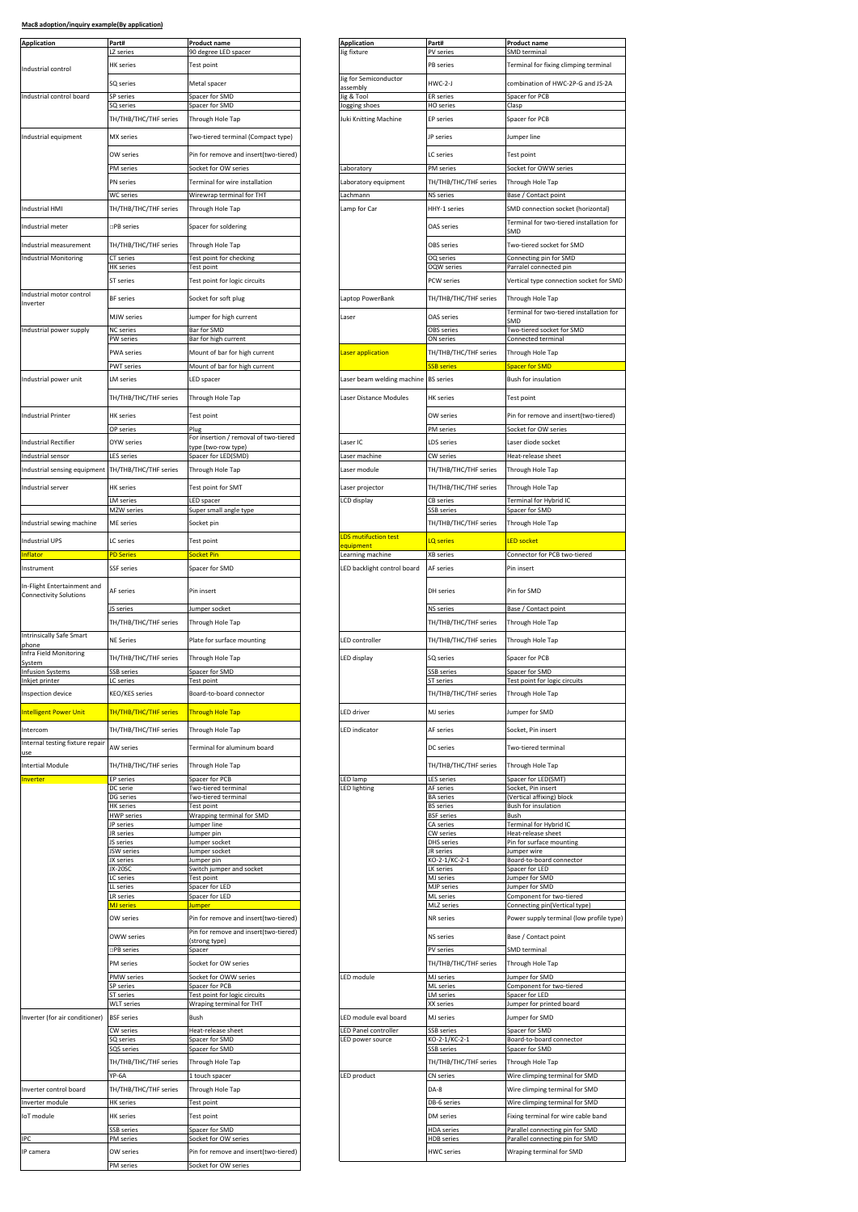| <b>Application</b>                                           | Part#<br>LZ series                 | <b>Product name</b>                                             | <b>Application</b>                       | Part#                                     | Product name                                                       |
|--------------------------------------------------------------|------------------------------------|-----------------------------------------------------------------|------------------------------------------|-------------------------------------------|--------------------------------------------------------------------|
|                                                              | <b>HK</b> series                   | 90 degree LED spacer<br>Test point                              | lig fixture                              | PV series<br>PB series                    | SMD terminal<br>Terminal for fixing climping terminal              |
| Industrial control                                           |                                    |                                                                 | Jig for Semiconductor                    | $HWC-2-J$                                 |                                                                    |
| Industrial control board                                     | SQ series<br>SP series             | Metal spacer<br>Spacer for SMD                                  | assembly<br>Jig & Tool                   | <b>ER</b> series                          | combination of HWC-2P-G and JS-2A<br>Spacer for PCB                |
|                                                              | SQ series                          | Spacer for SMD                                                  | Jogging shoes                            | <b>HO</b> series                          | Clasp                                                              |
|                                                              | TH/THB/THC/THF series              | Through Hole Tap                                                | Juki Knitting Machine                    | <b>EP</b> series                          | Spacer for PCB                                                     |
| Industrial equipment                                         | MX series                          | Two-tiered terminal (Compact type)                              |                                          | JP series                                 | Jumper line                                                        |
|                                                              | OW series                          | Pin for remove and insert(two-tiered)                           |                                          | LC series                                 | Test point                                                         |
|                                                              | PM series                          | Socket for OW series                                            | Laboratory                               | PM series                                 | Socket for OWW series                                              |
|                                                              | PN series                          | Terminal for wire installation                                  | Laboratory equipment                     | TH/THB/THC/THF series                     | Through Hole Tap                                                   |
|                                                              | <b>WC</b> series                   | Wirewrap terminal for THT                                       | Lachmann                                 | <b>NS</b> series                          | Base / Contact point                                               |
| Industrial HMI                                               | TH/THB/THC/THF series              | Through Hole Tap                                                | Lamp for Car                             | HHY-1 series                              | SMD connection socket (horizontal)                                 |
| Industrial meter                                             | <b>PB</b> series                   | Spacer for soldering                                            |                                          | OAS series                                | Terminal for two-tiered installation fo<br>SMD                     |
| Industrial measurement                                       | TH/THB/THC/THF series              | Through Hole Tap                                                |                                          | OBS series                                | Two-tiered socket for SMD                                          |
| <b>Industrial Monitoring</b>                                 | CT series                          | Test point for checking                                         |                                          | OQ series                                 | Connecting pin for SMD                                             |
|                                                              | HK series                          | Test point                                                      |                                          | OQW series                                | Parralel connected pin                                             |
| Industrial motor control                                     | ST series                          | Test point for logic circuits                                   |                                          | PCW series                                | Vertical type connection socket for S!                             |
| Inverter                                                     | <b>BF</b> series                   | Socket for soft plug                                            | Laptop PowerBank                         | TH/THB/THC/THF series                     | Through Hole Tap                                                   |
|                                                              | MJW series                         | Jumper for high current                                         | Laser                                    | OAS series                                | Terminal for two-tiered installation fo<br>SMD                     |
| Industrial power supply                                      | <b>NC</b> series<br>PW series      | Bar for SMD<br>Bar for high current                             |                                          | <b>OBS</b> series<br>ON series            | Two-tiered socket for SMD<br>Connected terminal                    |
|                                                              | PWA series                         | Mount of bar for high current                                   | Laser application                        | TH/THB/THC/THF series                     | Through Hole Tap                                                   |
|                                                              | PWT series                         | Mount of bar for high current                                   |                                          | <b>SSB</b> series                         | Spacer for SMD                                                     |
| Industrial power unit                                        | LM series                          | LED spacer                                                      | Laser beam welding machine               | <b>BS</b> series                          | Bush for insulation                                                |
|                                                              | TH/THB/THC/THF series              | Through Hole Tap                                                | Laser Distance Modules                   | <b>HK</b> series                          | Test point                                                         |
|                                                              |                                    |                                                                 |                                          |                                           |                                                                    |
| <b>Industrial Printer</b>                                    | <b>HK</b> series<br>OP series      | Test point                                                      |                                          | OW series<br>PM series                    | Pin for remove and insert(two-tiered)<br>Socket for OW series      |
| Industrial Rectifier                                         | OYW series                         | Plug<br>For insertion / removal of two-tiered                   | Laser IC                                 | LDS series                                | Laser diode socket                                                 |
| ndustrial sensor                                             | <b>LES</b> series                  | type (two-row type)<br>Spacer for LED(SMD)                      | Laser machine                            | CW series                                 | Heat-release sheet                                                 |
| Industrial sensing equipment TH/THB/THC/THF series           |                                    | Through Hole Tap                                                | Laser module                             | TH/THB/THC/THF series                     | Through Hole Tap                                                   |
| Industrial server                                            | HK series                          | <b>Test point for SMT</b>                                       | Laser projector                          | TH/THB/THC/THF series                     | Through Hole Tap                                                   |
|                                                              | LM series                          | LED spacer                                                      | LCD display                              | CB series                                 | Terminal for Hybrid IC                                             |
|                                                              | MZW series                         | Super small angle type                                          |                                          | SSB series                                | Spacer for SMD                                                     |
| Industrial sewing machine                                    | ME series                          | Socket pin                                                      |                                          | TH/THB/THC/THF series                     | Through Hole Tap                                                   |
| <b>Industrial UPS</b>                                        | LC series                          | <b>Test point</b>                                               | <b>LDS</b> mutifuction test<br>equipment | <b>LQ</b> series                          | <b>LED socket</b>                                                  |
| <b>Inflator</b>                                              | <b>PD Series</b>                   | ocket Pin                                                       | Learning machine                         | <b>XB</b> series                          | Connector for PCB two-tiered                                       |
| Instrument                                                   | <b>SSF</b> series                  | Spacer for SMD                                                  | LED backlight control board              | AF series                                 | Pin insert                                                         |
| In-Flight Entertainment and<br><b>Connectivity Solutions</b> | AF series                          | Pin insert                                                      |                                          | DH series                                 | Pin for SMD                                                        |
|                                                              | JS series<br>TH/THB/THC/THF series | Jumper socket<br>Through Hole Tap                               |                                          | <b>NS</b> series<br>TH/THB/THC/THF series | Base / Contact point<br>Through Hole Tap                           |
| Intrinsically Safe Smart                                     | <b>NE Series</b>                   | Plate for surface mounting                                      | LED controller                           | TH/THB/THC/THF series                     | Through Hole Tap                                                   |
| phone<br>Infra Field Monitoring                              | TH/THB/THC/THF series              | Through Hole Tap                                                | LED display                              | SQ series                                 | Spacer for PCB                                                     |
| System<br><b>Infusion Systems</b>                            | SSB series                         | Spacer for SMD                                                  |                                          | SSB series                                | Spacer for SMD                                                     |
| Inkjet printer                                               | LC series                          | Test point                                                      |                                          | <b>ST</b> series                          | Test point for logic circuits                                      |
| Inspection device                                            | KEO/KES series                     | Board-to-board connector                                        |                                          | TH/THB/THC/THF series                     | Through Hole Tap                                                   |
| <b>Intelligent Power Unit</b>                                | TH/THB/THC/THF series              | <b>Through Hole Tap</b>                                         | LED driver                               | MJ series                                 | Jumper for SMD                                                     |
| Intercom                                                     | TH/THB/THC/THF series              | Through Hole Tap                                                | LED indicator                            | AF series                                 | Socket, Pin insert                                                 |
| Internal testing fixture repair                              | AW series                          | Terminal for aluminum board                                     |                                          | DC series                                 | Two-tiered terminal                                                |
| use<br><b>Intertial Module</b>                               | TH/THB/THC/THF series              | Through Hole Tap                                                |                                          | TH/THB/THC/THF series                     |                                                                    |
| <b>Inverter</b>                                              | <b>EP</b> series                   | Spacer for PCB                                                  | LED lamp                                 | <b>LES series</b>                         | Through Hole Tap<br>Spacer for LED(SMT)                            |
|                                                              | DC serie<br><b>DG</b> series       | Two-tiered terminal<br>Two-tiered terminal                      | <b>LED lighting</b>                      | AF series<br><b>BA</b> series             | Socket, Pin insert<br>(Vertical affixing) block                    |
|                                                              | <b>HK</b> series                   | <b>Test point</b>                                               |                                          | <b>BS</b> series                          | Bush for insulation                                                |
|                                                              | <b>HWP</b> series<br>JP series     | Wrapping terminal for SMD<br>Jumper line                        |                                          | <b>BSF</b> series<br>CA series            | <b>Bush</b><br>Terminal for Hybrid IC                              |
|                                                              | JR series                          | lumper pin                                                      |                                          | CW series                                 | Heat-release sheet                                                 |
|                                                              | S series<br><b>ISW</b> series      | Jumper socket<br>lumper socket                                  |                                          | DHS series<br>JR series                   | Pin for surface mounting<br>Jumper wire                            |
|                                                              | JX series<br>JX-20SC               | Jumper pin<br>Switch jumper and socket                          |                                          | KO-2-1/KC-2-1<br>LK series                | Board-to-board connector<br>Spacer for LED                         |
|                                                              | LC series                          | Test point                                                      |                                          | MJ series                                 | Jumper for SMD                                                     |
|                                                              | LL series<br><b>LR</b> series      | Spacer for LED<br>Spacer for LED                                |                                          | <b>MJP</b> series<br><b>ML</b> series     | Jumper for SMD<br>Component for two-tiered                         |
|                                                              | <b>MJ</b> series                   | lumper                                                          |                                          | MLZ series                                | Connecting pin(Vertical type)                                      |
|                                                              | OW series                          | Pin for remove and insert(two-tiered)                           |                                          | NR series                                 | Power supply terminal (low profile ty                              |
|                                                              | OWW series<br>PB series            | Pin for remove and insert(two-tiered)<br>strong type)<br>Spacer |                                          | NS series<br>PV series                    | Base / Contact point<br>SMD terminal                               |
|                                                              | <b>PM</b> series                   | Socket for OW series                                            |                                          | TH/THB/THC/THF series                     | Through Hole Tap                                                   |
|                                                              | <b>PMW</b> series                  | Socket for OWW series                                           | LED module                               | MJ series                                 | Jumper for SMD                                                     |
|                                                              | SP series<br>ST series             | Spacer for PCB<br>Test point for logic circuits                 |                                          | ML series<br>M series                     | Component for two-tiered<br>Spacer for LED                         |
|                                                              | <b>WLT</b> series                  | Wraping terminal for THT                                        |                                          | XX series                                 | Jumper for printed board                                           |
| Inverter (for air conditioner)                               | <b>BSF</b> series                  | Bush                                                            | LED module eval board                    | MJ series                                 | Jumper for SMD                                                     |
|                                                              | CW series<br>SQ series             | Heat-release sheet<br>Spacer for SMD                            | LED Panel controller<br>LED power source | SSB series<br>KO-2-1/KC-2-1               | Spacer for SMD<br>Board-to-board connector                         |
|                                                              | SQS series                         | Spacer for SMD                                                  |                                          | SSB series                                | Spacer for SMD                                                     |
|                                                              | TH/THB/THC/THF series              | Through Hole Tap                                                |                                          | TH/THB/THC/THF series                     | Through Hole Tap                                                   |
|                                                              | YP-6A                              | 1 touch spacer                                                  | LED product                              | CN series                                 | Wire climping terminal for SMD                                     |
| Inverter control board                                       | TH/THB/THC/THF series              | Through Hole Tap                                                |                                          | DA-8                                      | Wire climping terminal for SMD                                     |
| Inverter module                                              |                                    |                                                                 |                                          | DB-6 series                               | Wire climping terminal for SMD                                     |
|                                                              | <b>HK</b> series                   | Test point                                                      |                                          |                                           |                                                                    |
| loT module                                                   | HK series                          | Test point                                                      |                                          | DM series                                 | Fixing terminal for wire cable band                                |
| IPC                                                          | SSB series<br>PM series            | Spacer for SMD<br>Socket for OW series                          |                                          | <b>HDA</b> series<br>HDB series           | Parallel connecting pin for SMD<br>Parallel connecting pin for SMD |
| IP camera                                                    | OW series                          | Pin for remove and insert(two-tiered)                           |                                          | <b>HWC</b> series                         | Wraping terminal for SMD                                           |
|                                                              | PM series                          | Socket for OW series                                            |                                          |                                           |                                                                    |

| Part#<br>LZ series             | <b>Product name</b><br>90 degree LED spacer           | <b>Application</b><br><b>Jig fixture</b> | Part#<br>PV series                     | Product name<br>SMD terminal                                       |
|--------------------------------|-------------------------------------------------------|------------------------------------------|----------------------------------------|--------------------------------------------------------------------|
| <b>HK</b> series               | Test point                                            |                                          | <b>PB</b> series                       | Terminal for fixing climping terminal                              |
| SQ series                      | Metal spacer                                          | Jig for Semiconductor                    | HWC-2-J                                | combination of HWC-2P-G and JS-2A                                  |
| SP series                      | Spacer for SMD                                        | assembly<br>Jig & Tool                   | <b>ER</b> series                       | Spacer for PCB                                                     |
| SQ series                      | Spacer for SMD                                        | Jogging shoes                            | HO series                              | Clasp                                                              |
| TH/THB/THC/THF series          | Through Hole Tap                                      | Juki Knitting Machine                    | <b>EP</b> series                       | Spacer for PCB                                                     |
| MX series                      | Two-tiered terminal (Compact type)                    |                                          | JP series                              | Jumper line                                                        |
| OW series                      | Pin for remove and insert(two-tiered)                 |                                          | LC series                              | Test point                                                         |
| PM series                      | Socket for OW series                                  | Laboratory                               | PM series                              | Socket for OWW series                                              |
| PN series                      | Terminal for wire installation                        | Laboratory equipment                     | TH/THB/THC/THF series                  | Through Hole Tap                                                   |
| <b>WC</b> series               | Wirewrap terminal for THT                             | Lachmann                                 | <b>NS</b> series                       | Base / Contact point                                               |
| TH/THB/THC/THF series          | Through Hole Tap                                      | Lamp for Car                             | HHY-1 series                           | SMD connection socket (horizontal)                                 |
| □PB series                     | Spacer for soldering                                  |                                          | OAS series                             | Terminal for two-tiered installation for                           |
|                                |                                                       |                                          |                                        | SMD                                                                |
| TH/THB/THC/THF series          | Through Hole Tap                                      |                                          | <b>OBS</b> series                      | Two-tiered socket for SMD                                          |
| CT series<br><b>HK</b> series  | Test point for checking<br>Test point                 |                                          | OQ series<br><b>OQW</b> series         | Connecting pin for SMD<br>Parralel connected pin                   |
| ST series                      | Test point for logic circuits                         |                                          | PCW series                             | Vertical type connection socket for SMD                            |
|                                |                                                       |                                          |                                        |                                                                    |
| <b>BF</b> series               | Socket for soft plug                                  | Laptop PowerBank                         | TH/THB/THC/THF series                  | Through Hole Tap                                                   |
| MJW series                     | Jumper for high current                               | Laser                                    | OAS series                             | Terminal for two-tiered installation for<br>SMD                    |
| <b>NC</b> series               | Bar for SMD                                           |                                          | <b>OBS</b> series                      | Two-tiered socket for SMD                                          |
| PW series                      | Bar for high current                                  |                                          | ON series                              | Connected terminal                                                 |
| <b>PWA</b> series              | Mount of bar for high current                         | Laser application                        | TH/THB/THC/THF series                  | Through Hole Tap                                                   |
| <b>PWT</b> series              | Mount of bar for high current                         |                                          | <b>SB</b> series                       | <b>Spacer for SMD</b>                                              |
| <b>LM</b> series               | LED spacer                                            | Laser beam welding machine BS series     |                                        | Bush for insulation                                                |
| TH/THB/THC/THF series          | Through Hole Tap                                      | Laser Distance Modules                   | <b>HK</b> series                       | Test point                                                         |
| <b>HK</b> series               | Test point                                            |                                          | OW series                              | Pin for remove and insert(two-tiered)                              |
| OP series                      | Plug                                                  |                                          | PM series                              | Socket for OW series                                               |
| OYW series                     | For insertion / removal of two-tiered                 | Laser IC                                 | <b>LDS</b> series                      | Laser diode socket                                                 |
| <b>LES series</b>              | type (two-row type)<br>Spacer for LED(SMD)            | Laser machine                            | CW series                              | Heat-release sheet                                                 |
| TH/THB/THC/THF series          | Through Hole Tap                                      | Laser module                             | TH/THB/THC/THF series                  | Through Hole Tap                                                   |
|                                |                                                       |                                          |                                        |                                                                    |
| <b>HK</b> series               | Test point for SMT                                    | Laser projector                          | TH/THB/THC/THF series                  | Through Hole Tap                                                   |
| <b>LM</b> series<br>MZW series | LED spacer<br>Super small angle type                  | LCD display                              | <b>CB</b> series<br>SSB series         | Terminal for Hybrid IC<br>Spacer for SMD                           |
| ME series                      | Socket pin                                            |                                          | TH/THB/THC/THF series                  | Through Hole Tap                                                   |
|                                |                                                       | <b>LDS</b> mutifuction test              |                                        |                                                                    |
| LC series                      | Test point                                            | equipment                                | <b>LQ</b> series                       | <b>LED socket</b>                                                  |
| <b>PD Series</b>               | Socket Pin                                            | Learning machine                         | <b>XB</b> series                       | Connector for PCB two-tiered                                       |
| <b>SSF</b> series              | Spacer for SMD                                        | LED backlight control board              | AF series                              | Pin insert                                                         |
| AF series                      | Pin insert                                            |                                          | DH series                              | Pin for SMD                                                        |
| JS series                      | Jumper socket                                         |                                          | <b>NS</b> series                       | Base / Contact point                                               |
| TH/THB/THC/THF series          | Through Hole Tap                                      |                                          | TH/THB/THC/THF series                  | Through Hole Tap                                                   |
| <b>NE Series</b>               | Plate for surface mounting                            | LED controller                           | TH/THB/THC/THF series                  | Through Hole Tap                                                   |
| TH/THB/THC/THF series          | Through Hole Tap                                      | LED display                              | SQ series                              | Spacer for PCB                                                     |
| SSB series                     | Spacer for SMD                                        |                                          | <b>SSB</b> series                      | Spacer for SMD                                                     |
| LC series                      | Test point                                            |                                          | <b>ST</b> series                       | Test point for logic circuits                                      |
| <b>KEO/KES</b> series          | Board-to-board connector                              |                                          | TH/THB/THC/THF series                  | Through Hole Tap                                                   |
| TH/THB/THC/THF series          | <b>Through Hole Tap</b>                               | <b>LED</b> driver                        | <b>MJ</b> series                       | Jumper for SMD                                                     |
|                                |                                                       |                                          |                                        |                                                                    |
| TH/THB/THC/THF series          | Through Hole Tap                                      | <b>LED</b> indicator                     | AF series                              | Socket, Pin insert                                                 |
| AW series                      | Terminal for aluminum board                           |                                          | DC series                              | Two-tiered terminal                                                |
| TH/THB/THC/THF series          | Through Hole Tap                                      |                                          | TH/THB/THC/THF series                  | Through Hole Tap                                                   |
| <b>EP</b> series               | Spacer for PCB                                        | LED lamp                                 | <b>LES series</b>                      | Spacer for LED(SMT)                                                |
| DC serie                       | Two-tiered terminal                                   | LED lighting                             | AF series                              | Socket, Pin insert                                                 |
| DG series<br><b>HK</b> series  | Two-tiered terminal<br><b>Test point</b>              |                                          | <b>BA</b> series<br><b>BS</b> series   | (Vertical affixing) block<br>Bush for insulation                   |
| <b>HWP</b> series              | Wrapping terminal for SMD                             |                                          | <b>BSF</b> series                      | Bush                                                               |
| JP series<br>JR series         | lumper line<br>umper pin                              |                                          | CA series<br>CW series                 | Terminal for Hybrid IC<br>Heat-release sheet                       |
| JS series                      | umper socket                                          |                                          | DHS series                             | Pin for surface mounting                                           |
| JSW series<br>JX series        | Jumper socket<br>lumper pin                           |                                          | JR series<br>KO-2-1/KC-2-1             | Jumper wire<br>Board-to-board connector                            |
| JX-20SC                        | Switch jumper and socket                              |                                          | LK series                              | Spacer for LED                                                     |
| LC series<br>LL series         | Test point<br>Spacer for LED                          |                                          | MJ series<br><b>MJP</b> series         | Jumper for SMD<br>Jumper for SMD                                   |
| <b>LR</b> series               | Spacer for LED                                        |                                          | <b>ML</b> series                       | Component for two-tiered                                           |
| <b>MJ</b> series               | <b>lumper</b>                                         |                                          | MLZ series                             | Connecting pin(Vertical type)                                      |
| OW series                      | Pin for remove and insert(two-tiered)                 |                                          | NR series                              | Power supply terminal (low profile type)                           |
| OWW series                     | Pin for remove and insert(two-tiered)<br>strong type) |                                          | <b>NS</b> series                       | Base / Contact point                                               |
| □PB series                     | Spacer                                                |                                          | PV series                              | SMD terminal                                                       |
| PM series                      | Socket for OW series                                  |                                          | TH/THB/THC/THF series                  | Through Hole Tap                                                   |
| <b>PMW</b> series              | Socket for OWW series                                 | LED module                               | MJ series                              | Jumper for SMD                                                     |
| SP series<br>ST series         | Spacer for PCB<br>Test point for logic circuits       |                                          | <b>ML</b> series<br>LM series          | Component for two-tiered<br>Spacer for LED                         |
| <b>WLT</b> series              | Wraping terminal for THT                              |                                          | XX series                              | Jumper for printed board                                           |
| <b>BSF</b> series              | Bush                                                  | LED module eval board                    | MJ series                              | Jumper for SMD                                                     |
| CW series                      | Heat-release sheet                                    | LED Panel controller                     | SSB series                             | Spacer for SMD                                                     |
| SQ series                      | Spacer for SMD                                        | LED power source                         | KO-2-1/KC-2-1                          | Board-to-board connector                                           |
| SQS series                     | Spacer for SMD                                        |                                          | SSB series                             | Spacer for SMD                                                     |
| TH/THB/THC/THF series          | Through Hole Tap                                      |                                          | TH/THB/THC/THF series                  | Through Hole Tap                                                   |
| YP-6A                          | 1 touch spacer                                        | LED product                              | CN series                              | Wire climping terminal for SMD                                     |
| TH/THB/THC/THF series          | Through Hole Tap                                      |                                          | DA-8                                   | Wire climping terminal for SMD                                     |
| <b>HK</b> series               | Test point                                            |                                          | DB-6 series                            | Wire climping terminal for SMD                                     |
| <b>HK</b> series               | Test point                                            |                                          | DM series                              | Fixing terminal for wire cable band                                |
| <b>SSB</b> series<br>PM series | Spacer for SMD<br>Socket for OW series                |                                          | <b>HDA</b> series<br><b>HDB</b> series | Parallel connecting pin for SMD<br>Parallel connecting pin for SMD |
| OW series                      | Pin for remove and insert(two-tiered)                 |                                          | <b>HWC</b> series                      | Wraping terminal for SMD                                           |
|                                |                                                       |                                          |                                        |                                                                    |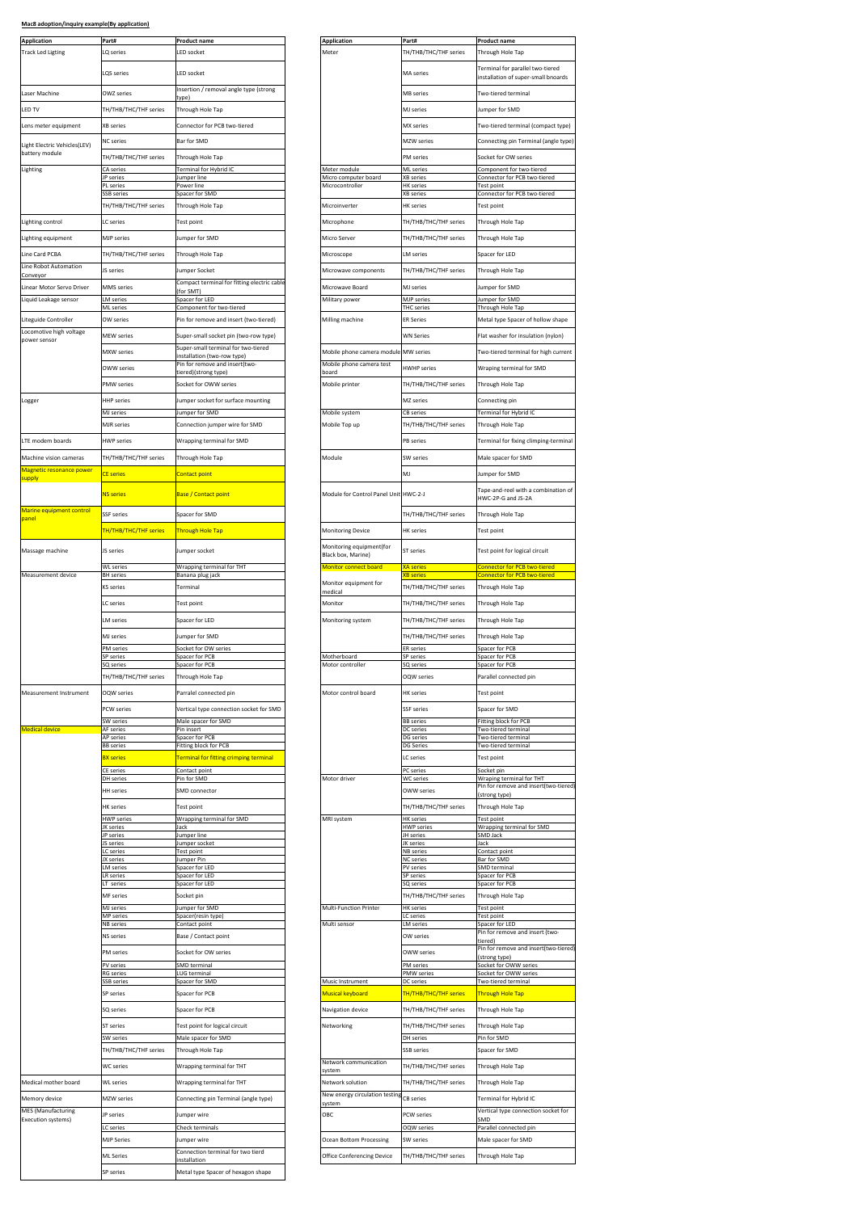| Mac8 adoption/inquiry example(By application) |  |
|-----------------------------------------------|--|
|                                               |  |

| Application<br><b>Track Led Ligting</b>         | Part#<br>LQ series                    | <b>Product name</b><br>LED socket                                            | Application<br>Meter                                   | Part#<br>TH/THB/THC/THF series                 | Product name<br>Through Hole Tap                                        |
|-------------------------------------------------|---------------------------------------|------------------------------------------------------------------------------|--------------------------------------------------------|------------------------------------------------|-------------------------------------------------------------------------|
|                                                 | LQS series                            | <b>LED socket</b>                                                            |                                                        | MA series                                      | Terminal for parallel two-tiered<br>installation of super-small bnoards |
| Laser Machine                                   | OWZ series                            | Insertion / removal angle type (strong                                       |                                                        | MB series                                      | Two-tiered terminal                                                     |
| LED TV                                          | TH/THB/THC/THF series                 | Through Hole Tap                                                             |                                                        | MJ series                                      | Jumper for SMD                                                          |
| Lens meter equipment                            | <b>XB</b> series                      | Connector for PCB two-tiered                                                 |                                                        | MX series                                      | Two-tiered terminal (compact type)                                      |
| light Electric Vehicles(LEV)                    | <b>NC</b> series                      | Bar for SMD                                                                  |                                                        | MZW series                                     | Connecting pin Terminal (angle type                                     |
| battery module                                  | TH/THB/THC/THF series                 | Through Hole Tap                                                             |                                                        | PM series                                      | Socket for OW series                                                    |
| Lighting                                        | CA series<br>JP series                | Terminal for Hybrid IC<br>Jumper line                                        | Meter module<br>Micro computer board                   | <b>ML</b> series<br><b>XB</b> series           | Component for two-tiered<br>Connector for PCB two-tiered                |
|                                                 | PL series<br>SSB series               | Power line<br>Spacer for SMD                                                 | Microcontroller                                        | <b>HK</b> series<br><b>XB</b> series           | Test point<br>Connector for PCB two-tiered                              |
|                                                 | TH/THB/THC/THF series                 | Through Hole Tap                                                             | Microinverter                                          | HK series                                      | Test point                                                              |
| Lighting control                                | LC series                             | Test point                                                                   | Microphone                                             | TH/THB/THC/THF series                          | Through Hole Tap                                                        |
| Lighting equipment                              | <b>MJP</b> series                     | Jumper for SMD                                                               | Micro Server                                           | TH/THB/THC/THF series                          | Through Hole Tap                                                        |
| Line Card PCBA                                  | TH/THB/THC/THF series                 | Through Hole Tap                                                             | Microscope                                             | LM series                                      | Spacer for LED                                                          |
| Line Robot Automation<br>Conveyor               | JS series                             | Jumper Socket                                                                | Microwave components                                   | TH/THB/THC/THF series                          | Through Hole Tap                                                        |
| Linear Motor Servo Driver                       | <b>MMS</b> series<br><b>M</b> series  | Compact terminal for fitting electric cable<br>for SMT<br>Spacer for LED     | Microwave Board                                        | MJ series<br>MJP series                        | Jumper for SMD<br>umper for SMD                                         |
| Liquid Leakage sensor                           | <b>ML</b> series                      | Component for two-tiered                                                     | Military power                                         | <b>THC</b> series                              | Through Hole Tap                                                        |
| Liteguide Controller<br>Locomotive high voltage | OW series                             | Pin for remove and insert (two-tiered)                                       | Milling machine                                        | <b>ER Series</b>                               | Metal type Spacer of hollow shape                                       |
| power sensor                                    | <b>MEW series</b>                     | Super-small socket pin (two-row type)<br>Super-small terminal for two-tiered |                                                        | <b>WN Series</b>                               | Flat washer for insulation (nylon)                                      |
|                                                 | <b>MXW</b> series                     | nstallation (two-row type<br>Pin for remove and insert(two-                  | Mobile phone camera module<br>Mobile phone camera test | MW series                                      | Two-tiered terminal for high current                                    |
|                                                 | OWW series                            | tiered)(strong type)                                                         | board                                                  | <b>HWHP</b> series                             | Wraping terminal for SMD                                                |
|                                                 | PMW series                            | Socket for OWW series                                                        | Mobile printer                                         | TH/THB/THC/THF series                          | Through Hole Tap                                                        |
| Logger                                          | <b>HHP</b> series<br><b>MJ</b> series | Jumper socket for surface mounting<br>Jumper for SMD                         | Mobile system                                          | MZ series<br>CB series                         | Connecting pin<br>Terminal for Hybrid IC                                |
|                                                 | <b>MJR</b> series                     | Connection jumper wire for SMD                                               | Mobile Top up                                          | TH/THB/THC/THF series                          | Through Hole Tap                                                        |
| LTE modem boards                                | <b>HWP series</b>                     | Wrapping terminal for SMD                                                    |                                                        | PB series                                      | Terminal for fixing climping-termina                                    |
| Machine vision cameras                          | TH/THB/THC/THF series                 | Through Hole Tap                                                             | Module                                                 | SW series                                      | Male spacer for SMD                                                     |
| Magnetic resonance power<br>supply              | <b>CE</b> series                      | <b>Contact point</b>                                                         |                                                        | MJ                                             | lumper for SMD                                                          |
|                                                 | <b>NS series</b>                      | Base / Contact point                                                         | Module for Control Panel Unit HWC-2-J                  |                                                | Tape-and-reel with a combination of<br>HWC-2P-G and JS-2A               |
| Marine equipment control                        | <b>SSF</b> series                     | Spacer for SMD                                                               |                                                        | TH/THB/THC/THF series                          | Through Hole Tap                                                        |
| panel                                           | TH/THB/THC/THF series                 | <b>Through Hole Tap</b>                                                      | Monitoring Device                                      | <b>HK</b> series                               | Test point                                                              |
| Massage machine                                 | JS series                             | Jumper socket                                                                | Monitoring equipment(for                               | <b>ST</b> series                               | Test point for logical circuit                                          |
|                                                 | <b>WL</b> series                      | Wrapping terminal for THT                                                    | Black box, Marine)<br>Monitor connect board            | <b>XA series</b>                               | Connector for PCB two-tiered                                            |
| Measurement device                              | <b>BH</b> series                      | Banana plug jack                                                             | Monitor equipment for                                  | <b>(B series</b>                               | Connector for PCB two-tiered                                            |
|                                                 | KS series                             | Terminal                                                                     | medical                                                | TH/THB/THC/THF series                          | Through Hole Tap                                                        |
|                                                 | C series                              | <b>Test point</b>                                                            | Monitor                                                | TH/THB/THC/THF series                          | Through Hole Tap                                                        |
|                                                 | M series<br>MJ series                 | Spacer for LED<br>Jumper for SMD                                             | Monitoring system                                      | TH/THB/THC/THF series<br>TH/THB/THC/THF series | Through Hole Tap<br>Through Hole Tap                                    |
|                                                 | PM series                             | Socket for OW series                                                         |                                                        | <b>ER</b> series                               | Spacer for PCB                                                          |
|                                                 | SP series<br>SQ series                | Spacer for PCB<br>Spacer for PCB                                             | Motherboard<br>Motor controller                        | <b>SP</b> series<br>SQ series                  | Spacer for PCB<br>Spacer for PCB                                        |
|                                                 | TH/THB/THC/THF series                 | Through Hole Tap                                                             |                                                        | <b>OQW</b> series                              | Parallel connected pin                                                  |
| <b>Measurement Instrument</b>                   | OQW series                            | Parralel connected pin                                                       | Motor control board                                    | <b>HK</b> series                               | Test point                                                              |
|                                                 | PCW series<br>SW series               | Vertical type connection socket for SMD                                      |                                                        | <b>SSF series</b><br><b>BB</b> series          | Spacer for SMD<br><b>Fitting block for PCB</b>                          |
| <b>Medical device</b>                           | AF series<br><b>AP</b> series         | Male spacer for SMD<br>Pin insert<br>Spacer for PCB                          |                                                        | DC series<br>DG series                         | Two-tiered terminal<br>Two-tiered terminal                              |
|                                                 | <b>BB</b> series                      | Fitting block for PCB                                                        |                                                        | <b>DG Series</b>                               | Two-tiered terminal                                                     |
|                                                 | <b>BX</b> series<br>CE series         | <b>Terminal for fitting crimping terminal</b><br>Contact point               |                                                        | LC series<br>PC series                         | Test point<br>Socket pin                                                |
|                                                 | <b>DH</b> series                      | Pin for SMD                                                                  | Motor driver                                           | <b>WC</b> series                               | Wraping terminal for THT<br>Pin for remove and insert(two-tiered        |
|                                                 | <b>HH</b> series                      | SMD connector                                                                |                                                        | OWW series                                     | (strong type)                                                           |
|                                                 | <b>HK</b> series<br><b>HWP</b> series | <b>Test point</b><br>Wrapping terminal for SMD                               | MRI system                                             | TH/THB/THC/THF series<br><b>HK</b> series      | Through Hole Tap<br><b>Test point</b>                                   |
|                                                 | IK serie<br>JP series                 | Jumper line                                                                  |                                                        | <b>HWP</b> serie<br>JH series                  | Wrapping terminal for SMD<br>SMD Jack                                   |
|                                                 | JS series<br>LC series                | Jumper socket<br>Test point                                                  |                                                        | JK series<br>NB series                         | Jack<br>Contact point                                                   |
|                                                 | JX series<br>LM series                | Jumper Pin<br>Spacer for LED                                                 |                                                        | <b>NC</b> series<br>PV series                  | Bar for SMD<br>SMD terminal                                             |
|                                                 | <b>LR</b> series<br>T series          | Spacer for LED<br>Spacer for LED                                             |                                                        | <b>SP</b> series<br>SQ series                  | Spacer for PCB<br>Spacer for PCB                                        |
|                                                 | <b>MF</b> series                      | Socket pin                                                                   |                                                        | TH/THB/THC/THF series                          | Through Hole Tap                                                        |
|                                                 | MJ series<br>MP series                | Jumper for SMD<br>Spacer(resin type)                                         | <b>Multi-Function Printer</b>                          | <b>HK</b> series<br>LC series                  | <b>Test point</b><br><b>Test point</b>                                  |
|                                                 | <b>NB</b> series<br>NS series         | Contact point<br>Base / Contact point                                        | Multi sensor                                           | <b>LM</b> series<br>OW series                  | Spacer for LED<br>Pin for remove and insert (two-                       |
|                                                 | PM series                             | Socket for OW series                                                         |                                                        | OWW series                                     | tiered)<br>Pin for remove and insert(two-tiered                         |
|                                                 | PV series<br>RG serie:                | SMD terminal<br>LUG terminal                                                 |                                                        | PM series<br><b>PMW</b> series                 | strong type)<br>Socket for OWW series<br>Socket for OWW series          |
|                                                 | SSB series                            | Spacer for SMD                                                               | Music Instrument                                       | DC series                                      | Two-tiered terminal                                                     |
|                                                 | SP series                             | Spacer for PCB                                                               | Musical keyboard                                       | TH/THB/THC/THF series                          | Through Hole Tap                                                        |
|                                                 | SQ series                             | Spacer for PCB                                                               | Navigation device                                      | TH/THB/THC/THF series                          | Through Hole Tap                                                        |
|                                                 | ST series<br>SW series                | Test point for logical circuit<br>Male spacer for SMD                        | Networking                                             | TH/THB/THC/THF series<br>DH series             | Through Hole Tap<br>Pin for SMD                                         |
|                                                 | TH/THB/THC/THF series                 | Through Hole Tap                                                             |                                                        | <b>SSB series</b>                              | Spacer for SMD                                                          |
|                                                 | <b>WC</b> series                      | Wrapping terminal for THT                                                    | Network communication<br>system                        | TH/THB/THC/THF series                          | Through Hole Tap                                                        |
| Medical mother board                            | <b>WL</b> series                      | Wrapping terminal for THT                                                    | Network solution                                       | TH/THB/THC/THF series                          | Through Hole Tap                                                        |
| Memory device                                   | MZW series                            | Connecting pin Terminal (angle type)                                         | New energy circulation testin<br>system                | CB series                                      | Terminal for Hybrid IC                                                  |
| <b>MES</b> (Manufacturing                       | JP series                             | Jumper wire                                                                  | OBC                                                    | PCW series                                     | Vertical type connection socket for<br>SMD                              |
| Execution systems)                              |                                       |                                                                              |                                                        |                                                |                                                                         |
|                                                 | LC series<br><b>MJP Series</b>        | Check terminals                                                              | Ocean Bottom Processing                                | OQW series<br><b>SW</b> series                 | Parallel connected pin                                                  |
|                                                 | <b>ML Series</b>                      | Jumper wire<br>Connection terminal for two tierd                             | Office Conferencing Device                             | TH/THB/THC/THF series                          | Male spacer for SMD<br>Through Hole Tap                                 |
|                                                 | SP series                             | nstallation<br>Metal type Spacer of hexagon shape                            |                                                        |                                                |                                                                         |

| Part#                                                                                                                                                                                              | <b>Product name</b><br><b>LED</b> socket                          | <b>Application</b><br>Meter              | Part#<br>TH/THB/THC/THF series             | <b>Product name</b>                                                     |
|----------------------------------------------------------------------------------------------------------------------------------------------------------------------------------------------------|-------------------------------------------------------------------|------------------------------------------|--------------------------------------------|-------------------------------------------------------------------------|
| LQ series                                                                                                                                                                                          |                                                                   |                                          |                                            | Through Hole Tap                                                        |
| LQS series                                                                                                                                                                                         | LED socket                                                        |                                          | MA series                                  | Terminal for parallel two-tiered<br>installation of super-small bnoards |
| OWZ series                                                                                                                                                                                         | Insertion / removal angle type (strong                            |                                          | <b>MB</b> series                           | Two-tiered terminal                                                     |
|                                                                                                                                                                                                    | :ype)                                                             |                                          |                                            |                                                                         |
| TH/THB/THC/THF series                                                                                                                                                                              | Through Hole Tap                                                  |                                          | MJ series                                  | Jumper for SMD                                                          |
| <b>XB</b> series                                                                                                                                                                                   | Connector for PCB two-tiered                                      |                                          | MX series                                  | Two-tiered terminal (compact type)                                      |
| <b>NC</b> series                                                                                                                                                                                   | Bar for SMD                                                       |                                          | MZW series                                 | Connecting pin Terminal (angle type)                                    |
| TH/THB/THC/THF series                                                                                                                                                                              | Through Hole Tap                                                  |                                          | PM series                                  | Socket for OW series                                                    |
| CA series                                                                                                                                                                                          | Terminal for Hybrid IC                                            | Meter module                             | <b>ML</b> series<br><b>XB</b> series       | Component for two-tiered                                                |
| JP series<br>PL series                                                                                                                                                                             | Jumper line<br>Power line                                         | Micro computer board<br>Microcontroller  | <b>HK</b> series                           | Connector for PCB two-tiered<br><b>Test point</b>                       |
| SSB series                                                                                                                                                                                         | Spacer for SMD                                                    |                                          | <b>XB</b> series                           | Connector for PCB two-tiered                                            |
| TH/THB/THC/THF series                                                                                                                                                                              | Through Hole Tap                                                  | Microinverter                            | <b>HK</b> series                           | <b>Test point</b>                                                       |
| LC series                                                                                                                                                                                          | <b>Test point</b>                                                 | Microphone                               | TH/THB/THC/THF series                      | Through Hole Tap                                                        |
| <b>MJP</b> series                                                                                                                                                                                  | Jumper for SMD                                                    | Micro Server                             | TH/THB/THC/THF series                      | Through Hole Tap                                                        |
| TH/THB/THC/THF series                                                                                                                                                                              | Through Hole Tap                                                  | Microscope                               | LM series                                  | Spacer for LED                                                          |
| JS series                                                                                                                                                                                          | Jumper Socket                                                     | Microwave components                     | TH/THB/THC/THF series                      | Through Hole Tap                                                        |
| MMS series                                                                                                                                                                                         | Compact terminal for fitting electric cable                       | Microwave Board                          | MJ series                                  | Jumper for SMD                                                          |
| <b>LM</b> series                                                                                                                                                                                   | (for SMT)<br>Spacer for LED                                       | Military power                           | <b>MJP</b> series                          | Jumper for SMD                                                          |
| <b>ML</b> series                                                                                                                                                                                   | Component for two-tiered                                          |                                          | <b>THC</b> series                          | Through Hole Tap                                                        |
| OW series                                                                                                                                                                                          | Pin for remove and insert (two-tiered)                            | Milling machine                          | <b>ER Series</b>                           | Metal type Spacer of hollow shape                                       |
| <b>MEW</b> series                                                                                                                                                                                  | Super-small socket pin (two-row type)                             |                                          | <b>WN Series</b>                           | Flat washer for insulation (nylon)                                      |
| <b>MXW</b> series                                                                                                                                                                                  | Super-small terminal for two-tiered<br>nstallation (two-row type) | Mobile phone camera module               | <b>MW</b> series                           | Two-tiered terminal for high current                                    |
| OWW series                                                                                                                                                                                         | Pin for remove and insert(two-                                    | Mobile phone camera test                 | <b>HWHP</b> series                         | Wraping terminal for SMD                                                |
| <b>PMW</b> series                                                                                                                                                                                  | tiered)(strong type)<br>Socket for OWW series                     | board                                    |                                            |                                                                         |
|                                                                                                                                                                                                    |                                                                   | Mobile printer                           | TH/THB/THC/THF series                      | Through Hole Tap                                                        |
| <b>HHP</b> series                                                                                                                                                                                  | Jumper socket for surface mounting                                |                                          | MZ series                                  | Connecting pin                                                          |
| MJ series<br><b>MJR</b> series                                                                                                                                                                     | Jumper for SMD<br>Connection jumper wire for SMD                  | Mobile system<br>Mobile Top up           | <b>CB</b> series<br>TH/THB/THC/THF series  | <b>Terminal for Hybrid IO</b><br>Through Hole Tap                       |
|                                                                                                                                                                                                    |                                                                   |                                          |                                            |                                                                         |
| <b>HWP</b> series                                                                                                                                                                                  | Wrapping terminal for SMD                                         |                                          | <b>PB</b> series                           | Terminal for fixing climping-terminal                                   |
| TH/THB/THC/THF series                                                                                                                                                                              | Through Hole Tap                                                  | Module                                   | SW series                                  | Male spacer for SMD                                                     |
| <b>CE series</b>                                                                                                                                                                                   | <b>Contact point</b>                                              |                                          | MJ                                         | Jumper for SMD                                                          |
| <b>NS series</b>                                                                                                                                                                                   | <b>Base / Contact point</b>                                       | Module for Control Panel Unit HWC-2-J    |                                            | Tape-and-reel with a combination of                                     |
|                                                                                                                                                                                                    |                                                                   |                                          |                                            | HWC-2P-G and JS-2A                                                      |
| <b>SSF</b> series                                                                                                                                                                                  | Spacer for SMD                                                    |                                          | TH/THB/THC/THF series                      | Through Hole Tap                                                        |
| TH/THB/THC/THF series                                                                                                                                                                              | Through Hole Tap                                                  | Monitoring Device                        | <b>HK</b> series                           | Test point                                                              |
|                                                                                                                                                                                                    |                                                                   | Monitoring equipment(for                 |                                            |                                                                         |
| JS series                                                                                                                                                                                          | Jumper socket                                                     | Black box, Marine)                       | <b>ST</b> series                           | Test point for logical circuit                                          |
| <b>WL</b> series<br><b>BH</b> series                                                                                                                                                               | Wrapping terminal for THT<br>Banana plug jack                     | <b>Monitor connect board</b>             | <b>A</b> series<br><b><u>XB series</u></b> | Connector for PCB two-tiered<br><b>Connector for PCB two-tiered</b>     |
| <b>KS</b> series                                                                                                                                                                                   | Terminal                                                          | Monitor equipment for<br>medical         | TH/THB/THC/THF series                      | Through Hole Tap                                                        |
| LC series                                                                                                                                                                                          | Test point                                                        | Monitor                                  | TH/THB/THC/THF series                      | Through Hole Tap                                                        |
| <b>LM</b> series                                                                                                                                                                                   | Spacer for LED                                                    |                                          | TH/THB/THC/THF series                      |                                                                         |
|                                                                                                                                                                                                    |                                                                   | Monitoring system                        |                                            | Through Hole Tap                                                        |
| MJ series                                                                                                                                                                                          | Jumper for SMD<br>Socket for OW series                            |                                          | TH/THB/THC/THF series                      | Through Hole Tap                                                        |
| PM series                                                                                                                                                                                          |                                                                   | Motherboard                              | <b>ER</b> series<br><b>SP</b> series       | Spacer for PCB<br>Spacer for PCB                                        |
| SP series                                                                                                                                                                                          | Spacer for PCB                                                    |                                          |                                            |                                                                         |
| SQ series                                                                                                                                                                                          | Spacer for PCB                                                    | Motor controller                         | SQ series                                  | Spacer for PCB                                                          |
| TH/THB/THC/THF series                                                                                                                                                                              | 'hrough Hole Tap                                                  |                                          | QW series                                  | arallel connected pin                                                   |
| OQW series                                                                                                                                                                                         | Parralel connected pin                                            | Motor control board                      | <b>HK</b> series                           | <b>Test point</b>                                                       |
| PCW series                                                                                                                                                                                         | Vertical type connection socket for SMD                           |                                          | <b>SSF series</b>                          | Spacer for SMD                                                          |
| SW series                                                                                                                                                                                          | Male spacer for SMD<br>Pin insert                                 |                                          | <b>BB</b> series                           | <b>Fitting block for PCB</b>                                            |
| AF series<br><b>AP</b> series                                                                                                                                                                      | pacer for PCB                                                     |                                          | DC series<br><b>DG</b> series              | Two-tiered terminal<br>Two-tiered terminal                              |
| <b>BB</b> series                                                                                                                                                                                   | Fitting block for PCB                                             |                                          | DG Series                                  | Two-tiered terminal                                                     |
| <b>BX</b> series<br>CE series                                                                                                                                                                      | Terminal for fitting crimping terminal<br>Contact point           |                                          | LC series<br>PC series                     | Test point<br>Socket pin                                                |
| DH series                                                                                                                                                                                          | Pin for SMD                                                       | Motor driver                             | <b>WC</b> series                           | Wraping terminal for THT<br>Pin for remove and insert(two-tiered)       |
| <b>HH</b> series                                                                                                                                                                                   | <b>SMD</b> connector                                              |                                          | OWW series                                 | (strong type)                                                           |
| <b>HK</b> series                                                                                                                                                                                   | <b>Test point</b>                                                 |                                          | TH/THB/THC/THF series                      | Through Hole Tap                                                        |
| <b>HWP series</b><br>JK series                                                                                                                                                                     | Wrapping terminal for SMD<br>Jack                                 | MRI system                               | <b>HK</b> series<br><b>HWP series</b>      | <b>Test point</b><br><b>Wrapping terminal for SMD</b>                   |
| JP series                                                                                                                                                                                          | Jumper line                                                       |                                          | JH series                                  | SMD Jack                                                                |
|                                                                                                                                                                                                    | Jumper socket<br>Test point                                       |                                          | JK series<br><b>NB</b> series              | Jack<br>Contact point                                                   |
|                                                                                                                                                                                                    | Jumper Pin<br>Spacer for LED                                      |                                          | <b>NC</b> series<br>PV series              | Bar for SMD<br>SMD terminal                                             |
| JS series<br>LC series<br>JX series<br><b>LM</b> series<br><b>LR</b> series                                                                                                                        | Spacer for LED                                                    |                                          | <b>SP</b> series<br>SQ series              | Spacer for PCB                                                          |
| LT series<br>MF series                                                                                                                                                                             | Spacer for LED<br>Socket pin                                      |                                          | TH/THB/THC/THF series                      | Spacer for PCB<br>Through Hole Tap                                      |
|                                                                                                                                                                                                    | Jumper for SMD                                                    | Multi-Function Printer                   | <b>HK</b> series                           | <b>Test point</b>                                                       |
| MJ series<br>MP series<br><b>NB</b> series                                                                                                                                                         | Spacer(resin type)<br>Contact point                               | Multi sensor                             | LC series<br><b>LM</b> series              | Test point<br>Spacer for LED                                            |
| NS series                                                                                                                                                                                          | Base / Contact point                                              |                                          | OW series                                  | Pin for remove and insert (two-                                         |
| PM series                                                                                                                                                                                          | Socket for OW series                                              |                                          | OWW series                                 | tiered)<br>Pin for remove and insert(two-tiered)                        |
|                                                                                                                                                                                                    | <b>SMD</b> terminal                                               |                                          | PM series                                  | strong type<br>Socket for OWW series                                    |
|                                                                                                                                                                                                    | LUG terminal                                                      |                                          | PMW series<br>DC series                    | Socket for OWW series                                                   |
|                                                                                                                                                                                                    | Spacer for SMD<br>Spacer for PCB                                  | Music Instrument<br>Musical keyboard     | TH/THB/THC/THF series                      | Two-tiered terminal<br>Through Hole Tap                                 |
|                                                                                                                                                                                                    |                                                                   |                                          |                                            |                                                                         |
|                                                                                                                                                                                                    | Spacer for PCB                                                    | Navigation device                        | TH/THB/THC/THF series                      | Through Hole Tap                                                        |
|                                                                                                                                                                                                    | Test point for logical circuit                                    | Networking                               | TH/THB/THC/THF series                      | Through Hole Tap                                                        |
|                                                                                                                                                                                                    | Male spacer for SMD                                               |                                          | DH series<br><b>SSB</b> series             | Pin for SMD                                                             |
|                                                                                                                                                                                                    | Through Hole Tap                                                  | Network communication                    |                                            | Spacer for SMD                                                          |
|                                                                                                                                                                                                    | Wrapping terminal for THT                                         | system                                   | TH/THB/THC/THF series                      | Through Hole Tap                                                        |
|                                                                                                                                                                                                    | Wrapping terminal for THT                                         | Network solution                         | TH/THB/THC/THF series                      | Through Hole Tap                                                        |
|                                                                                                                                                                                                    | Connecting pin Terminal (angle type)                              | New energy circulation testing<br>system | CB series                                  | Terminal for Hybrid IC                                                  |
| PV series<br><b>RG</b> series<br><b>SSB series</b><br>SP series<br>SQ series<br>ST series<br>SW series<br>TH/THB/THC/THF series<br><b>WC</b> series<br><b>WL</b> series<br>MZW series<br>JP series | Jumper wire                                                       | ОВС                                      | PCW series                                 | Vertical type connection socket for<br>SMD                              |
|                                                                                                                                                                                                    | Check terminals                                                   |                                          | OQW series                                 | Parallel connected pin                                                  |
| LC series<br><b>MJP Series</b>                                                                                                                                                                     | Jumper wire<br>Connection terminal for two tierd                  | Ocean Bottom Processing                  | SW series                                  | Male spacer for SMD                                                     |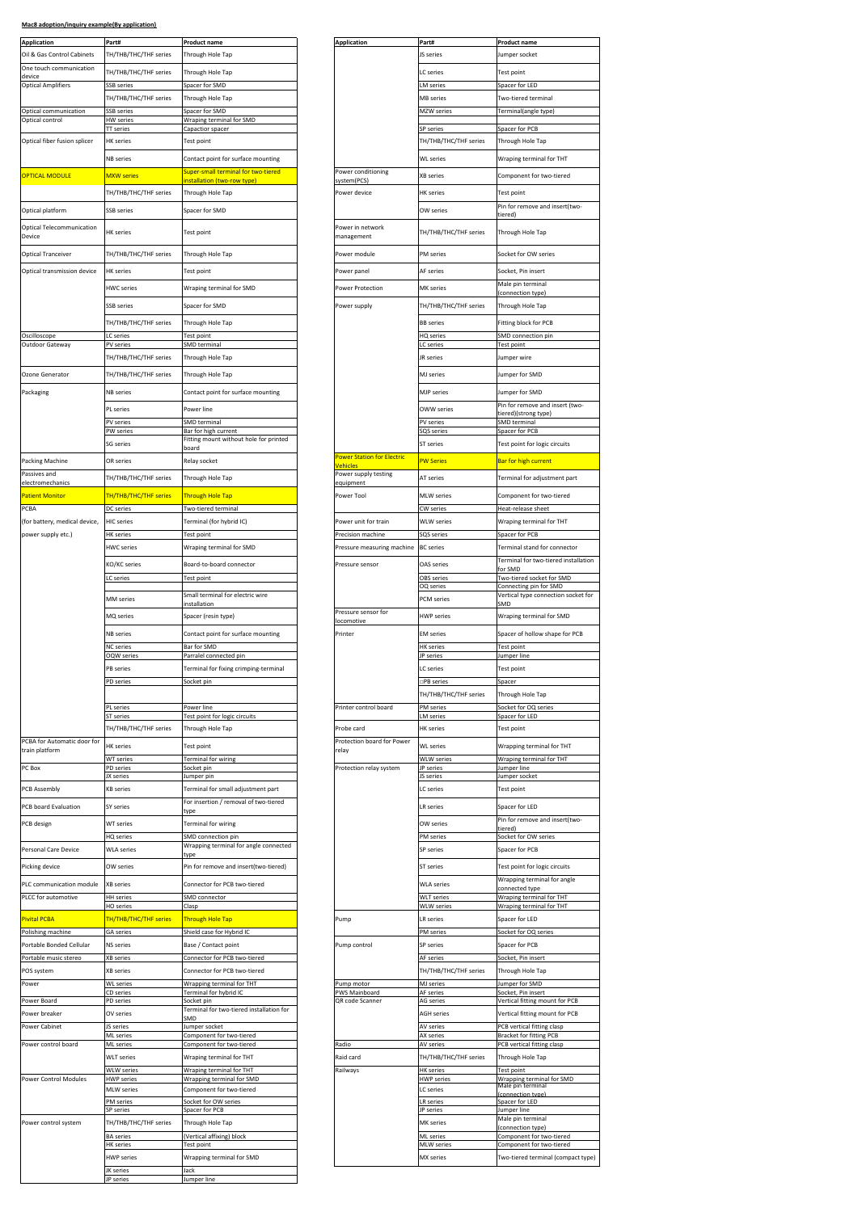|  | Mac8 adoption/inquiry example(By application) |  |
|--|-----------------------------------------------|--|
|  |                                               |  |

| <b>Application</b><br>Oil & Gas Control Cabinets  | Part#<br>TH/THB/THC/THF series             | Product name<br>Through Hole Tap                               |  | <b>Application</b>                           | Part#<br>JS series                 | <b>Product name</b><br>Jumper socket                             |
|---------------------------------------------------|--------------------------------------------|----------------------------------------------------------------|--|----------------------------------------------|------------------------------------|------------------------------------------------------------------|
| One touch communication                           |                                            |                                                                |  |                                              |                                    |                                                                  |
| device<br><b>Optical Amplifiers</b>               | TH/THB/THC/THF series<br><b>SSB</b> series | Through Hole Tap<br>Spacer for SMD                             |  |                                              | LC series<br>LM series             | Test point<br>Spacer for LED                                     |
|                                                   | <b>TH/THB/THC/THF series</b>               | Through Hole Tap                                               |  |                                              | <b>MB</b> series                   | Two-tiered terminal                                              |
| Optical communication                             | SSB series                                 | Spacer for SMD                                                 |  |                                              | MZW series                         | Terminal(angle type)                                             |
| Optical control                                   | <b>IW</b> series<br><b>IT</b> series       | Wraping terminal for SMD<br>Capactior spacer                   |  |                                              | SP series                          | Spacer for PCB                                                   |
| Optical fiber fusion splicer                      | <b>HK</b> series                           | Test point                                                     |  |                                              | TH/THB/THC/THF series              | Through Hole Tap                                                 |
|                                                   | <b>NB</b> series                           | Contact point for surface mounting                             |  |                                              | <b>WL</b> series                   | Wraping terminal for THT                                         |
| <b>OPTICAL MODULE</b>                             | <b>MXW</b> series                          | super-small terminal for two-tiered                            |  | Power conditioning                           | <b>XB</b> series                   | Component for two-tiered                                         |
|                                                   |                                            | nstallation (two-row type)                                     |  | system(PCS)                                  |                                    |                                                                  |
|                                                   | <b>TH/THB/THC/THF series</b>               | Through Hole Tap                                               |  | Power device                                 | <b>HK</b> series                   | Test point<br>Pin for remove and insert(two-                     |
| Optical platform                                  | SSB series                                 | spacer for SMD                                                 |  |                                              | OW series                          | tiered)                                                          |
| Optical Telecommunication<br>Device               | <b>HK</b> series                           | Test point                                                     |  | Power in network<br>management               | TH/THB/THC/THF series              | Through Hole Tap                                                 |
| <b>Optical Tranceiver</b>                         | TH/THB/THC/THF series                      | Through Hole Tap                                               |  | Power module                                 | PM series                          | Socket for OW series                                             |
| Optical transmission device                       | <b>HK</b> series                           | Test point                                                     |  | Power panel                                  | AF series                          | Socket, Pin insert                                               |
|                                                   | <b>HWC</b> series                          | Wraping terminal for SMD                                       |  | Power Protection                             | MK series                          | Male pin terminal<br>connection type)                            |
|                                                   | SSB series                                 | Spacer for SMD                                                 |  | Power supply                                 | TH/THB/THC/THF series              | Through Hole Tap                                                 |
|                                                   | TH/THB/THC/THF series                      | Through Hole Tap                                               |  |                                              | <b>BB</b> series                   | Fitting block for PCB                                            |
| Oscilloscope                                      | C series                                   | est point                                                      |  |                                              | HQ series                          | <b>SMD</b> connection pin                                        |
| Outdoor Gateway                                   | PV series                                  | MD terminal                                                    |  |                                              | LC series                          | Test point                                                       |
|                                                   | TH/THB/THC/THF series                      | Through Hole Tap                                               |  |                                              | JR series                          | Jumper wire                                                      |
| Ozone Generator                                   | TH/THB/THC/THF series                      | Through Hole Tap                                               |  |                                              | MJ series                          | Jumper for SMD                                                   |
| Packaging                                         | <b>NB</b> series                           | Contact point for surface mounting                             |  |                                              | <b>MJP</b> series                  | Jumper for SMD                                                   |
|                                                   | PL series                                  | Power line                                                     |  |                                              | OWW series                         | Pin for remove and insert (two                                   |
|                                                   | PV series                                  | <b>SMD</b> terminal                                            |  |                                              | PV series                          | (strong type) tiered<br><b>SMD</b> terminal                      |
|                                                   | <b>W</b> series                            | Bar for high current<br>Fitting mount without hole for printed |  |                                              | SQS series                         | Spacer for PCB                                                   |
|                                                   | G series                                   | oard                                                           |  |                                              | ST series                          | Test point for logic circuits                                    |
| Packing Machine                                   | OR series                                  | Relay socket                                                   |  | <b>Power Station for Electric</b><br>ehicles | <b>PW Series</b>                   | Bar for high current                                             |
| Passives and<br>electromechanics                  | TH/THB/THC/THF series                      | Through Hole Tap                                               |  | Power supply testing<br>equipment            | AT series                          | Terminal for adjustment part                                     |
| Patient Monitor                                   | <b>TH/THB/THC/THF series</b>               | Through Hole Tap                                               |  | Power Tool                                   | MLW series                         | Component for two-tiered                                         |
| PCBA                                              | DC series                                  | Two-tiered terminal                                            |  |                                              | CW series                          | Heat-release sheet                                               |
| (for battery, medical device,                     | <b>HIC</b> series                          | Terminal (for hybrid IC)                                       |  | Power unit for train                         | WLW series                         | Wraping terminal for THT                                         |
| power supply etc.)                                | <b>HK</b> series                           | <b>Fest point</b>                                              |  | Precision machine                            | SQS series                         | Spacer for PCB                                                   |
|                                                   | <b>HWC</b> series                          | Wraping terminal for SMD                                       |  | Pressure measuring machine                   | <b>BC</b> series                   | Terminal stand for connector                                     |
|                                                   | KO/KC series                               | Board-to-board connector                                       |  | Pressure sensor                              | OAS series                         | Terminal for two-tiered installa<br>or SMD                       |
|                                                   | C series                                   | Test point                                                     |  |                                              | OBS series                         | Two-tiered socket for SMD                                        |
|                                                   | MM series                                  | Small terminal for electric wire                               |  |                                              | OQ series<br>PCM series            | Connecting pin for SMD<br>Vertical type connection socke         |
|                                                   |                                            | nstallation                                                    |  | Pressure sensor for                          |                                    | 5MD                                                              |
|                                                   | MQ series                                  | Spacer (resin type)                                            |  | ocomotive                                    | <b>HWP</b> series                  | Wraping terminal for SMD                                         |
|                                                   | NB series                                  | Contact point for surface mounting                             |  | Printer                                      | <b>EM</b> series                   | Spacer of hollow shape for PCE                                   |
|                                                   | <b>NC</b> series<br><b>OQW</b> series      | Bar for SMD<br>Parralel connected pin                          |  |                                              | <b>HK</b> series<br>JP series      | Test point<br>Jumper line                                        |
|                                                   | <b>B</b> series                            | Terminal for fixing crimping-terminal                          |  |                                              | LC series                          | Test point                                                       |
|                                                   | 'D serie                                   |                                                                |  |                                              | IPB series                         | spacer                                                           |
|                                                   |                                            |                                                                |  |                                              | TH/THB/THC/THF series              | Through Hole Tap                                                 |
|                                                   | PL series<br>ST series                     | Power line<br>est point for logic circuits                     |  | Printer control board                        | PM series<br>LM series             | Socket for OQ series<br>Spacer for LED                           |
|                                                   | TH/THB/THC/THF series                      | Through Hole Tap                                               |  | Probe card                                   | <b>HK</b> series                   | Test point                                                       |
| PCBA for Automatic door for<br>train platform     | <b>HK</b> series                           | Test point                                                     |  | Protection board for Power<br>relay          | <b>WL</b> series                   | Wrapping terminal for THT                                        |
|                                                   | <b>WT</b> series                           | Ferminal for wiring                                            |  |                                              | <b>WLW series</b>                  | Wraping terminal for THT                                         |
| PC Box                                            | PD series<br>X series                      | ocket pin<br>lumper pin                                        |  | Protection relay system                      | JP series<br>JS series             | Jumper line<br>Jumper socket                                     |
| PCB Assembly                                      | <b>KB</b> series                           | Terminal for small adjustment part                             |  |                                              | LC series                          | Test point                                                       |
| PCB board Evaluation                              | SY series                                  | For insertion / removal of two-tiered                          |  |                                              | LR series                          | Spacer for LED                                                   |
| PCB design                                        | WT series                                  | :ype<br>Terminal for wiring                                    |  |                                              | OW series                          | Pin for remove and insert(two-                                   |
|                                                   | HQ series                                  | MD connection pin                                              |  |                                              | PM series                          | tiered)<br>Socket for OW series                                  |
| Personal Care Device                              | <b>WLA series</b>                          | Wrapping terminal for angle connected                          |  |                                              | SP series                          | Spacer for PCB                                                   |
| Picking device                                    | OW series                                  | :ype<br>Pin for remove and insert(two-tiered)                  |  |                                              | ST series                          | Test point for logic circuits                                    |
|                                                   |                                            |                                                                |  |                                              | <b>WLA series</b>                  | Wrapping terminal for angle                                      |
| PLC communication module<br>PLCC for automotive   | XB series<br><b>HH</b> series              | Connector for PCB two-tiered<br><b>SMD</b> connector           |  |                                              | <b>WLT</b> series                  | connected type<br>Wraping terminal for THT                       |
|                                                   | HO series                                  | Clasp                                                          |  |                                              | WLW series                         | Wraping terminal for THT                                         |
| <b>Pivital PCBA</b>                               | TH/THB/THC/THF series                      | Through Hole Tap                                               |  | Pump                                         | LR series                          | Spacer for LED                                                   |
| Polishing machine                                 | <b>GA</b> series                           | Shield case for Hybrid IC                                      |  |                                              | PM series                          | Socket for OQ series                                             |
| Portable Bonded Cellular<br>Portable music stereo | NS series<br>XB series                     | Base / Contact point                                           |  | Pump control                                 | SP series                          | Spacer for PCB                                                   |
| POS system                                        | <b>KB</b> series                           | Connector for PCB two-tiered<br>Connector for PCB two-tiered   |  |                                              | AF series<br>TH/THB/THC/THF series | Socket, Pin insert<br>Through Hole Tap                           |
| Power                                             | <b>NL</b> series                           | <b>Nrapping terminal for THT</b>                               |  | Pump motor                                   | MJ series                          | Jumper for SMD                                                   |
| Power Board                                       | D series<br>PD series                      | Ferminal for hybrid IC<br>ocket pin                            |  | PWS Mainboard<br>QR code Scanner             | AF series                          | Socket, Pin insert                                               |
| Power breaker                                     | OV series                                  | Ferminal for two-tiered installation for                       |  |                                              | AG series<br><b>AGH</b> series     | Vertical fitting mount for PCB<br>Vertical fitting mount for PCB |
| Power Cabinet                                     | JS series                                  | MD<br>lumper socket                                            |  |                                              | AV series                          | PCB vertical fitting clasp                                       |
| Power control board                               | <b>ML</b> series<br>ML series              | Component for two-tiered<br>Component for two-tiered           |  | Radio                                        | AX series<br>AV series             | Bracket for fitting PCB<br>PCB vertical fitting clasp            |
|                                                   | <b>WLT</b> series                          | Wraping terminal for THT                                       |  | Raid card                                    | TH/THB/THC/THF series              | Through Hole Tap                                                 |
|                                                   | <b>NLW</b> series                          | <b>Nraping terminal for THT</b>                                |  | Railways                                     | <b>HK</b> series                   | Test point                                                       |
| Power Control Modules                             | <b>IWP</b> series                          | Wrapping terminal for SMD                                      |  |                                              | <b>HWP</b> series                  | Wrapping terminal for SMD<br>Male pin terminal                   |
|                                                   | <b>MLW</b> series<br>M series              | Component for two-tiered<br>Socket for OW series               |  |                                              | LC series<br>LR series             | connection type)<br>Spacer for LED                               |
|                                                   | SP series                                  | Spacer for PCB                                                 |  |                                              | JP series                          | Jumper line                                                      |
| Power control system                              | TH/THB/THC/THF series                      | Through Hole Tap                                               |  |                                              | MK series                          | Male pin terminal<br>connection type)                            |
|                                                   | <b>BA</b> series<br><b>HK</b> series       | (Vertical affixing) block<br>Fest point                        |  |                                              | ML series<br><b>MLW</b> series     | Component for two-tiered<br>Component for two-tiered             |
|                                                   | <b>HWP</b> series                          | Wrapping terminal for SMD                                      |  |                                              | MX series                          | Two-tiered terminal (compact                                     |
|                                                   | JK series                                  | Jack                                                           |  |                                              |                                    |                                                                  |
|                                                   | JP series                                  | Jumper line                                                    |  |                                              |                                    |                                                                  |

| Part#                                                                                                                                | <b>Product name</b>                                                | <b>Application</b>                     | Part#                                  | <u>Product name</u>                                            |
|--------------------------------------------------------------------------------------------------------------------------------------|--------------------------------------------------------------------|----------------------------------------|----------------------------------------|----------------------------------------------------------------|
| TH/THB/THC/THF series                                                                                                                | Through Hole Tap                                                   |                                        | JS series                              | Jumper socket                                                  |
|                                                                                                                                      |                                                                    |                                        |                                        |                                                                |
| TH/THB/THC/THF series                                                                                                                | Through Hole Tap                                                   |                                        | LC series                              | Test point                                                     |
| <b>SSB</b> series                                                                                                                    | Spacer for SMD                                                     |                                        | LM series                              | Spacer for LED                                                 |
| TH/THB/THC/THF series                                                                                                                | Through Hole Tap                                                   |                                        | <b>MB</b> series                       | Two-tiered terminal                                            |
| <b>SSB</b> series                                                                                                                    | Spacer for SMD                                                     |                                        | MZW series                             | Terminal(angle type)                                           |
| HW series                                                                                                                            | Wraping terminal for SMD                                           |                                        |                                        |                                                                |
| <b>TT</b> series                                                                                                                     | Capactior spacer                                                   |                                        | SP series                              | Spacer for PCB                                                 |
| <b>HK</b> series                                                                                                                     | Test point                                                         |                                        | TH/THB/THC/THF series                  | Through Hole Tap                                               |
| NB series                                                                                                                            | Contact point for surface mounting                                 |                                        | <b>WL</b> series                       | Wraping terminal for THT                                       |
|                                                                                                                                      | super-small terminal for two-tiered                                | Power conditioning                     |                                        |                                                                |
| <b>MXW</b> series                                                                                                                    | nstallation (two-row type)                                         | system(PCS)                            | XB series                              | Component for two-tiered                                       |
| TH/THB/THC/THF series                                                                                                                | Through Hole Tap                                                   | Power device                           | HK series                              | Test point                                                     |
|                                                                                                                                      |                                                                    |                                        |                                        | Pin for remove and insert(two-                                 |
| SSB series                                                                                                                           | Spacer for SMD                                                     |                                        | OW series                              | tiered'                                                        |
|                                                                                                                                      |                                                                    | Power in network                       |                                        |                                                                |
| <b>HK</b> series                                                                                                                     | Test point                                                         | management                             | TH/THB/THC/THF series                  | Through Hole Tap                                               |
| TH/THB/THC/THF series                                                                                                                | Through Hole Tap                                                   | Power module                           | <b>PM</b> series                       | Socket for OW series                                           |
|                                                                                                                                      |                                                                    |                                        |                                        |                                                                |
| <b>HK</b> series                                                                                                                     | Test point                                                         | Power panel                            | AF series                              | Socket, Pin insert                                             |
| <b>HWC</b> series                                                                                                                    | Wraping terminal for SMD                                           | Power Protection                       | <b>MK</b> series                       | Male pin terminal                                              |
|                                                                                                                                      |                                                                    |                                        |                                        | connection type)                                               |
| SSB series                                                                                                                           | Spacer for SMD                                                     | Power supply                           | TH/THB/THC/THF series                  | Through Hole Tap                                               |
| TH/THB/THC/THF series                                                                                                                | Through Hole Tap                                                   |                                        | <b>BB</b> series                       | Fitting block for PCB                                          |
| LC series                                                                                                                            | Fest point                                                         |                                        | HQ series                              | <b>SMD</b> connection pin                                      |
| PV series                                                                                                                            | SMD terminal                                                       |                                        | LC series                              | Test point                                                     |
| TH/THB/THC/THF series                                                                                                                | Through Hole Tap                                                   |                                        | JR series                              | Jumper wire                                                    |
|                                                                                                                                      |                                                                    |                                        |                                        |                                                                |
| TH/THB/THC/THF series                                                                                                                | Through Hole Tap                                                   |                                        | <b>MJ</b> series                       | Jumper for SMD                                                 |
| <b>NB</b> series                                                                                                                     | Contact point for surface mounting                                 |                                        | <b>MJP</b> series                      | Jumper for SMD                                                 |
|                                                                                                                                      |                                                                    |                                        |                                        | Pin for remove and insert (two-                                |
| PL series                                                                                                                            | Power line                                                         |                                        | OWW series                             | tiered)(strong type)                                           |
| PV series<br>PW series                                                                                                               | SMD terminal<br>Bar for high current                               |                                        | PV series<br>SQS series                | SMD terminal<br>Spacer for PCB                                 |
|                                                                                                                                      | itting mount without hole for printed                              |                                        |                                        |                                                                |
| SG series                                                                                                                            | board                                                              |                                        | ST series                              | Test point for logic circuits                                  |
| OR series                                                                                                                            | Relay socket                                                       | Power Station for Electric<br>/ehicles | <b>PW Series</b>                       | Bar for high current                                           |
| TH/THB/THC/THF series                                                                                                                | Through Hole Tap                                                   | Power supply testing                   | AT series                              | Terminal for adjustment part                                   |
|                                                                                                                                      |                                                                    | equipment                              |                                        |                                                                |
| TH/THB/THC/THF series                                                                                                                | Through Hole Tap                                                   | Power Tool                             | MLW series                             | Component for two-tiered                                       |
| DC series                                                                                                                            | Two-tiered terminal                                                |                                        | CW series                              | Heat-release sheet                                             |
| <b>HIC</b> series                                                                                                                    | Terminal (for hybrid IC)                                           | Power unit for train                   | <b>WLW</b> series                      | Wraping terminal for THT                                       |
| <b>HK</b> series                                                                                                                     | Test point                                                         | Precision machine                      | SQS series                             | Spacer for PCB                                                 |
| <b>HWC</b> series                                                                                                                    | Wraping terminal for SMD                                           | Pressure measuring machine             | <b>BC</b> series                       | Terminal stand for connector                                   |
|                                                                                                                                      |                                                                    |                                        |                                        | Terminal for two-tiered installation                           |
| KO/KC series                                                                                                                         | Board-to-board connector                                           | Pressure sensor                        | OAS series                             | for SMD                                                        |
| LC series                                                                                                                            | Test point                                                         |                                        | OBS series                             | Two-tiered socket for SMD                                      |
|                                                                                                                                      | Small terminal for electric wire                                   |                                        | OQ series                              | Connecting pin for SMD<br>Vertical type connection socket for  |
|                                                                                                                                      |                                                                    |                                        |                                        |                                                                |
| <b>MM</b> series                                                                                                                     | installation                                                       |                                        | <b>PCM</b> series                      | SMD                                                            |
| MQ series                                                                                                                            | Spacer (resin type)                                                | Pressure sensor for                    | <b>HWP</b> series                      | Wraping terminal for SMD                                       |
|                                                                                                                                      |                                                                    | locomotive                             |                                        |                                                                |
| NB series                                                                                                                            | Contact point for surface mounting                                 | Printer                                | <b>EM</b> series                       | Spacer of hollow shape for PCB                                 |
| <b>NC</b> series                                                                                                                     | Bar for SMD                                                        |                                        | <b>HK</b> series                       | Test point                                                     |
| OQW series                                                                                                                           | Parralel connected pin                                             |                                        | JP series                              | Jumper line                                                    |
| PB series                                                                                                                            | Terminal for fixing crimping-terminal                              |                                        | LC series                              | Test point                                                     |
| PD series                                                                                                                            | Socket pin                                                         |                                        | □PB series                             | Spacer                                                         |
|                                                                                                                                      |                                                                    |                                        | TH/THB/THC/THF series                  | Through Hole Tap                                               |
| PL series                                                                                                                            | ower line                                                          | Printer control board                  | PM series                              | Socket for OQ series                                           |
| ST series                                                                                                                            | Test point for logic circuits                                      |                                        | <b>LM</b> series                       | Spacer for LED                                                 |
| TH/THB/THC/THF series                                                                                                                | Through Hole Tap                                                   | Probe card                             | <b>HK</b> series                       | Test point                                                     |
| <b>HK</b> series                                                                                                                     | Test point                                                         | Protection board for Power             | WI series                              | Wrapping terminal for THT                                      |
| <b>WT</b> series                                                                                                                     | Terminal for wiring                                                | relay                                  | <b>WLW series</b>                      | Wraping terminal for THT                                       |
| PD series                                                                                                                            | Socket pin                                                         | Protection relay system                | JP series                              | Jumper line                                                    |
| JX series                                                                                                                            | Jumper pin                                                         |                                        | JS series                              | Jumper socket                                                  |
| <b>KB</b> series                                                                                                                     | Terminal for small adjustment part                                 |                                        | LC series                              | Test point                                                     |
| SY series                                                                                                                            | For insertion / removal of two-tiered                              |                                        | LR series                              | Spacer for LED                                                 |
| <b>WT</b> series                                                                                                                     | type                                                               |                                        | OW series                              | Pin for remove and insert(two-                                 |
|                                                                                                                                      | Terminal for wiring                                                |                                        |                                        | tiered                                                         |
|                                                                                                                                      | <b>SMD</b> connection pin<br>Wrapping terminal for angle connected |                                        | PM series                              | Socket for OW series                                           |
|                                                                                                                                      | type                                                               |                                        | SP series                              | Spacer for PCB                                                 |
| HQ series<br><b>WLA series</b><br>OW series                                                                                          | Pin for remove and insert(two-tiered)                              |                                        | ST series                              | Test point for logic circuits                                  |
|                                                                                                                                      |                                                                    |                                        | <b>WLA series</b>                      | Wrapping terminal for angle                                    |
| XB series                                                                                                                            | Connector for PCB two-tiered                                       |                                        |                                        | connected type                                                 |
| <b>HH</b> series<br><b>HO</b> series                                                                                                 | SMD connector<br>Clasp                                             |                                        | <b>WLT</b> series<br><b>WLW</b> series | Wraping terminal for THT<br>Wraping terminal for THT           |
|                                                                                                                                      |                                                                    |                                        | <b>LR</b> series                       | Spacer for LED                                                 |
| TH/THB/THC/THF series                                                                                                                | Through Hole Tap                                                   | Pump                                   |                                        |                                                                |
| GA series                                                                                                                            | Shield case for Hybrid IC                                          |                                        | PM series                              | Socket for OQ series                                           |
| NS series                                                                                                                            | Base / Contact point                                               | Pump control                           | SP series                              | Spacer for PCB                                                 |
| XB series                                                                                                                            | Connector for PCB two-tiered                                       |                                        | AF series                              | Socket, Pin insert                                             |
| XB series                                                                                                                            | Connector for PCB two-tiered                                       |                                        | TH/THB/THC/THF series                  | Through Hole Tap                                               |
| <b>WL</b> series                                                                                                                     | Wrapping terminal for THT                                          | Pump motor                             | MJ series                              | Jumper for SMD                                                 |
| CD series<br>PD series                                                                                                               | <b>Ferminal for hybrid IC</b>                                      | PWS Mainboard<br>QR code Scanner       | AF series<br>AG series                 | Socket. Pin insert<br>Vertical fitting mount for PCB           |
|                                                                                                                                      | Socket pin<br>Ferminal for two-tiered installation for             |                                        | <b>AGH</b> series                      |                                                                |
|                                                                                                                                      | MD <sub>i</sub>                                                    |                                        |                                        | Vertical fitting mount for PCB                                 |
|                                                                                                                                      | Jumper socket<br>Component for two-tiered                          |                                        | AV series<br>AX series                 | PCB vertical fitting clasp<br><b>Bracket for fitting PCB</b>   |
|                                                                                                                                      | Component for two-tiered                                           | Radio                                  | <b>AV</b> series                       | PCB vertical fitting clasp                                     |
|                                                                                                                                      | Wraping terminal for THT                                           | Raid card                              | TH/THB/THC/THF series                  | Through Hole Tap                                               |
|                                                                                                                                      | Wraping terminal for THT                                           | Railways                               | <b>HK</b> series                       | Test point                                                     |
|                                                                                                                                      | Wrapping terminal for SMD                                          |                                        | <b>HWP</b> series                      | Wrapping terminal for SMD                                      |
| OV series<br>JS series<br>ML series<br>ML series<br><b>WLT</b> series<br><b>WLW</b> series<br><b>HWP</b> series<br><b>MLW</b> series | Component for two-tiered                                           |                                        | LC series                              | Male pin terminal                                              |
|                                                                                                                                      | Socket for OW series                                               |                                        | <b>LR</b> series                       | Spacer for LED                                                 |
| PM series<br>SP series                                                                                                               | Spacer for PCB                                                     |                                        | JP series                              | Jumper line                                                    |
| TH/THB/THC/THF series                                                                                                                | Through Hole Tap                                                   |                                        | MK series                              | Male pin terminal<br>(connection type)                         |
| <b>BA</b> series                                                                                                                     | Vertical affixing) block                                           |                                        | ML series                              | Component for two-tiered                                       |
| <b>HK</b> series<br><b>HWP</b> series                                                                                                | <b>Test point</b><br>Wrapping terminal for SMD                     |                                        | <b>MLW</b> series<br>MX series         | Component for two-tiered<br>Two-tiered terminal (compact type) |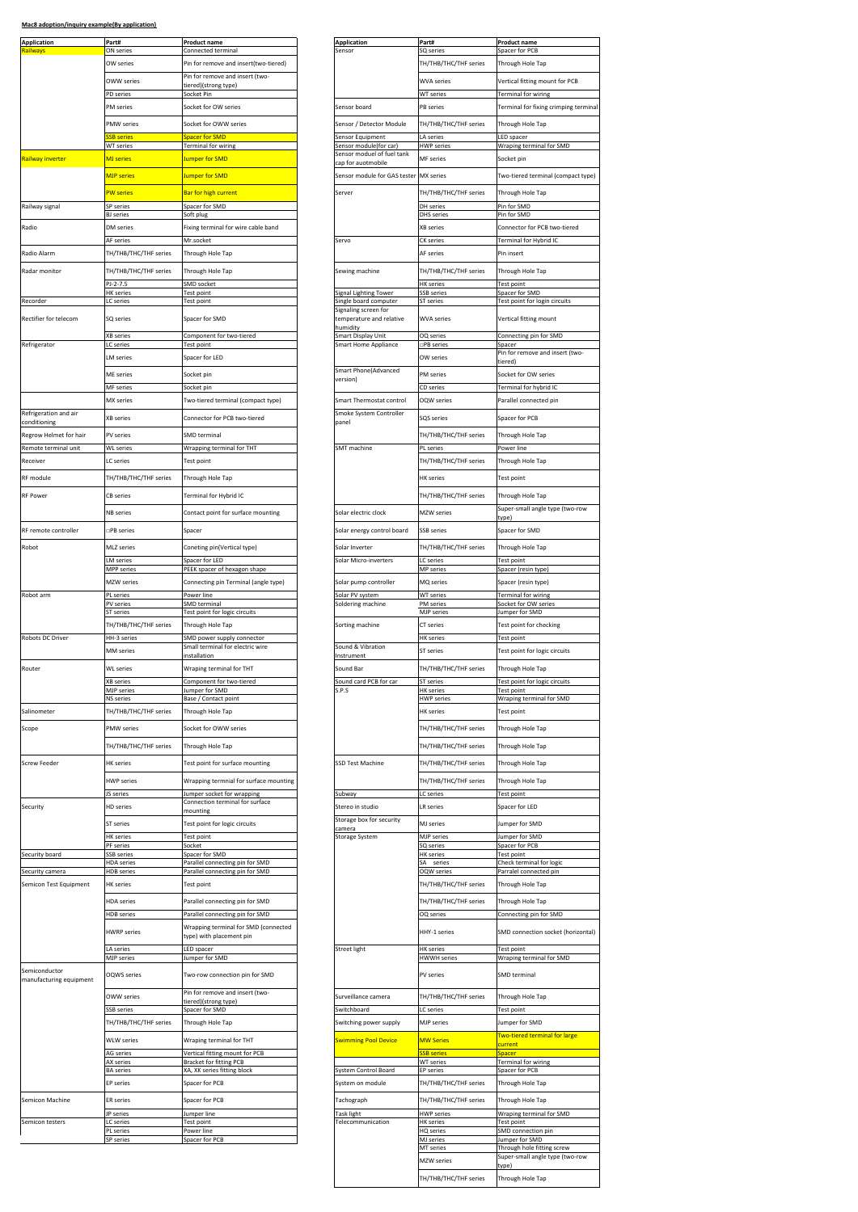| <b>Application</b>                       | Part#                                 | <b>Product name</b>                                                    |  | <b>Application</b>                                  | Part#                                     | Product name                                                 |
|------------------------------------------|---------------------------------------|------------------------------------------------------------------------|--|-----------------------------------------------------|-------------------------------------------|--------------------------------------------------------------|
| <b>Railways</b>                          | ON series<br>OW series                | Connected terminal<br>Pin for remove and insert(two-tiered)            |  | Sensor                                              | SQ series<br>TH/THB/THC/THF series        | Spacer for PCB<br>Through Hole Tap                           |
|                                          |                                       | Pin for remove and insert (two-                                        |  |                                                     |                                           |                                                              |
|                                          | <b>OWW series</b>                     | iered)(strong type)                                                    |  |                                                     | <b>WVA</b> series                         | Vertical fitting mount for PCB                               |
|                                          | PD series<br>PM series                | Socket Pin<br>Socket for OW series                                     |  | Sensor board                                        | WT series<br>PB series                    | <b>Terminal for wiring</b><br>Terminal for fixing crimping t |
|                                          |                                       |                                                                        |  |                                                     |                                           |                                                              |
|                                          | <b>PMW</b> series<br><b>B</b> serie   | Socket for OWW series<br>pacer for SMD                                 |  | Sensor / Detector Module<br>Sensor Equipment        | TH/THB/THC/THF series<br>LA series        | Through Hole Tap<br>LED spacer                               |
|                                          | WT series                             | Terminal for wiring                                                    |  | Sensor module(for car                               | <b>HWP</b> series                         | Wraping terminal for SMD                                     |
| Railway inverter                         | <b>MJ</b> series                      | Jumper for SMD                                                         |  | Sensor moduel of fuel tank<br>cap for auotmobile    | MF series                                 | Socket pin                                                   |
|                                          | <b>MJP</b> series                     | Jumper for SMD                                                         |  | Sensor module for GAS tester                        | <b>MX</b> series                          | Two-tiered terminal (compac                                  |
|                                          | <b>PW</b> series                      | Bar for high current                                                   |  | Server                                              | TH/THB/THC/THF series                     | Through Hole Tap                                             |
| Railway signal                           | SP series                             | Spacer for SMD                                                         |  |                                                     | DH series                                 | Pin for SMD                                                  |
|                                          | <b>BJ</b> series                      | Soft plug                                                              |  |                                                     | <b>DHS</b> series                         | Pin for SMD                                                  |
| Radio                                    | DM series                             | ixing terminal for wire cable band                                     |  | Servo                                               | <b>KB</b> series                          | Connector for PCB two-tiered<br>Terminal for Hybrid IC       |
| Radio Alarm                              | AF series<br>TH/THB/THC/THF series    | Mr.socket<br>Through Hole Tap                                          |  |                                                     | <b>CK</b> series<br>AF series             | Pin insert                                                   |
|                                          |                                       |                                                                        |  |                                                     |                                           |                                                              |
| Radar monitor                            | TH/THB/THC/THF series<br>PJ-2-7.5     | Through Hole Tap<br>SMD socket                                         |  | Sewing machine                                      | TH/THB/THC/THF series<br><b>HK</b> series | Through Hole Tap<br>Test point                               |
|                                          | <b>HK</b> series                      | Fest point                                                             |  | <b>Signal Lighting Tower</b>                        | SSB series                                | Spacer for SMD                                               |
| Recorder                                 | LC series                             | Test point                                                             |  | Single board computer<br>Signaling screen for       | ST series                                 | Test point for login circuits                                |
| Rectifier for telecom                    | SQ series                             | Spacer for SMD                                                         |  | temperature and relative<br>humidity                | <b>WVA series</b>                         | Vertical fitting mount                                       |
|                                          | <b>KB</b> series                      | Component for two-tiered                                               |  | Smart Display Unit                                  | OQ series                                 | Connecting pin for SMD                                       |
| Refrigerator                             | C series                              | est point                                                              |  | Smart Home Appliance                                | ⊐PB series                                | Spacer<br>Pin for remove and insert (tw                      |
|                                          | M series                              | Spacer for LED                                                         |  | Smart Phone(Advanced                                | OW series                                 | tiered)                                                      |
|                                          | ME series                             | Socket pin                                                             |  | version)                                            | PM series                                 | Socket for OW series                                         |
|                                          | <b>MF</b> series<br>MX series         | Socket pin                                                             |  |                                                     | CD series                                 | <b>Terminal for hybrid IC</b>                                |
| Refrigeration and air                    |                                       | Two-tiered terminal (compact type)                                     |  | Smart Thermostat control<br>Smoke System Controller | OQW series                                | Parallel connected pin                                       |
| conditioning                             | <b>XB</b> series                      | Connector for PCB two-tiered                                           |  | panel                                               | SQS series                                | Spacer for PCB                                               |
| Regrow Helmet for hair                   | PV series                             | <b>MD</b> terminal                                                     |  |                                                     | TH/THB/THC/THF series                     | Through Hole Tap                                             |
| Remote terminal unit                     | <b>NL</b> series                      | Wrapping terminal for THT                                              |  | SMT machine                                         | PL series                                 | Power line                                                   |
| Receiver                                 | C series                              | Test point                                                             |  |                                                     | TH/THB/THC/THF series                     | Through Hole Tap                                             |
| RF module                                | TH/THB/THC/THF series                 | Through Hole Tap                                                       |  |                                                     | HK series                                 | Test point                                                   |
| <b>RF Power</b>                          | CB series                             | Terminal for Hybrid IC                                                 |  |                                                     | TH/THB/THC/THF series                     | Through Hole Tap                                             |
|                                          | NB series                             | Contact point for surface mounting                                     |  | Solar electric clock                                | MZW series                                | Super-small angle type (two-                                 |
| RF remote controller                     | PB series                             | Spacer                                                                 |  | Solar energy control board                          | SSB series                                | type)<br>Spacer for SMD                                      |
|                                          |                                       |                                                                        |  |                                                     |                                           |                                                              |
| Robot                                    | MLZ series                            | Coneting pin(Vertical type)                                            |  | Solar Inverter                                      | TH/THB/THC/THF series                     | Through Hole Tap                                             |
|                                          | M series<br><b>MPP</b> series         | pacer for LED<br><b>PEEK spacer of hexagon shape</b>                   |  | Solar Micro-inverters                               | LC series<br><b>MP</b> series             | <b>Test point</b><br>Spacer (resin type)                     |
|                                          | <b>MZW</b> series                     | Connecting pin Terminal (angle type)                                   |  | Solar pump controller                               | MQ series                                 | Spacer (resin type)                                          |
| Robot arm                                | PL series<br>V series                 | Power line<br>MD terminal                                              |  | Solar PV system<br>Soldering machine                | <b>WT</b> series<br>PM series             | <b>Terminal for wiring</b><br>Socket for OW series           |
|                                          | ST series                             | Fest point for logic circuits                                          |  |                                                     | <b>MJP</b> series                         | Jumper for SMD                                               |
|                                          | TH/THB/THC/THF series                 | Through Hole Tap                                                       |  | Sorting machine                                     | CT series                                 | Test point for checking                                      |
| Robots DC Driver                         | HH-3 series                           | MD power supply connector<br>imall terminal for electric wire          |  | Sound & Vibration                                   | <b>HK</b> series                          | Test point                                                   |
|                                          | <b>MM</b> series                      | nstallation                                                            |  | Instrument                                          | ST series                                 | Test point for logic circuits                                |
| Router                                   | <b>WL</b> series                      | Wraping terminal for THT                                               |  | Sound Bar                                           | TH/THB/THC/THF series                     | Through Hole Tap                                             |
|                                          | <b>XB</b> series<br><b>MJP</b> series | Component for two-tiered<br>Jumper for SMD                             |  | Sound card PCB for car<br>S.P.S                     | <b>ST</b> series<br><b>HK</b> series      | Test point for logic circuits<br>Test point                  |
|                                          | NS series                             | Base / Contact point                                                   |  |                                                     | <b>HWP</b> series                         | Wraping terminal for SMD                                     |
| Salinometer                              | TH/THB/THC/THF series                 | Through Hole Tap                                                       |  |                                                     | HK series                                 | Test point                                                   |
| Scope                                    | PMW series                            | Socket for OWW series                                                  |  |                                                     | TH/THB/THC/THF series                     | Through Hole Tap                                             |
|                                          | TH/THB/THC/THF series                 | Through Hole Tap                                                       |  |                                                     | TH/THB/THC/THF series                     | Through Hole Tap                                             |
| Screw Feeder                             | <b>HK</b> series                      | Test point for surface mounting                                        |  | SSD Test Machine                                    | TH/THB/THC/THF series                     | Through Hole Tap                                             |
|                                          |                                       |                                                                        |  |                                                     |                                           |                                                              |
|                                          | <b>HWP series</b><br><b>S</b> series  | Wrapping termnial for surface mounting<br>umper socket for wrapping    |  |                                                     | TH/THB/THC/THF series<br>LC series        | Through Hole Tap<br>Test point                               |
| Security                                 | <b>HD</b> series                      | Connection terminal for surface                                        |  | Subway<br>Stereo in studio                          | R series                                  | Spacer for LED                                               |
|                                          |                                       | nounting                                                               |  | Storage box for security                            |                                           |                                                              |
|                                          | ST series<br><b>HK</b> series         | Test point for logic circuits<br><b>Fest point</b>                     |  | camera<br>Storage System                            | MJ series<br><b>MJP</b> series            | lumper for SMD<br>Jumper for SMD                             |
|                                          | PF series                             | iocket                                                                 |  |                                                     | SQ series                                 | Spacer for PCB                                               |
| Security board                           | SSB series<br><b>IDA</b> series       | pacer for SMD<br>arallel connecting pin for SMD                        |  |                                                     | <b>HK</b> series<br>SΑ<br>series          | <b>Test point</b><br>Check terminal for logic                |
| Security camera                          | <b>HDB</b> series                     | arallel connecting pin for SMD                                         |  |                                                     | OQW series                                | Parralel connected pin                                       |
| Semicon Test Equipment                   | <b>HK</b> series                      | Test point                                                             |  |                                                     | TH/THB/THC/THF series                     | Through Hole Tap                                             |
|                                          | <b>HDA</b> series                     | Parallel connecting pin for SMD                                        |  |                                                     | TH/THB/THC/THF series                     | Through Hole Tap                                             |
|                                          | <b>HDB</b> series                     | Parallel connecting pin for SMD                                        |  |                                                     | OQ series                                 | Connecting pin for SMD                                       |
|                                          | <b>HWRP</b> series                    | <b>Nrapping terminal for SMD (connected</b><br>ype) with placement pin |  |                                                     | HHY-1 series                              | SMD connection socket (hori:                                 |
|                                          | LA series<br><b>MJP</b> series        | ED spacer<br>umper for SMD                                             |  | Street light                                        | HK series<br><b>HWWH</b> series           | Test point<br>Wraping terminal for SMD                       |
| Semiconductor<br>manufacturing equipment | OQWS series                           | Two-row connection pin for SMD                                         |  |                                                     | PV series                                 | SMD terminal                                                 |
|                                          | OWW series                            | Pin for remove and insert (two-                                        |  | Surveillance camera                                 | TH/THB/THC/THF series                     | Through Hole Tap                                             |
|                                          | SSB series                            | (iered)(strong type)<br>Spacer for SMD                                 |  | Switchboard                                         | LC series                                 | Test point                                                   |
|                                          | TH/THB/THC/THF series                 | Through Hole Tap                                                       |  | Switching power supply                              | MJP series                                | lumper for SMD                                               |
|                                          | <b>WLW series</b>                     | Wraping terminal for THT                                               |  | <b>Swimming Pool Device</b>                         | <b>MW Series</b>                          | wo-tiered terminal for large                                 |
|                                          | AG series                             | Vertical fitting mount for PCB                                         |  |                                                     | <b>SSB</b> series                         | urrent:<br><b>Spacer</b>                                     |
|                                          | AX series<br><b>BA</b> series         | <b>Bracket for fitting PCB</b><br>XA, XK series fitting block          |  | System Control Board                                | <b>WT</b> series<br><b>EP</b> series      | <b>Terminal for wiring</b><br>Spacer for PCB                 |
|                                          | <b>EP</b> series                      | Spacer for PCB                                                         |  | System on module                                    | TH/THB/THC/THF series                     | Through Hole Tap                                             |
| Semicon Machine                          | <b>ER</b> series                      | Spacer for PCB                                                         |  | Tachograph                                          | TH/THB/THC/THF series                     | Through Hole Tap                                             |
|                                          | JP series                             | Jumper line                                                            |  | Task light                                          | <b>HWP series</b>                         | Wraping terminal for SMD                                     |
| Semicon testers                          | LC series<br>PL series                | Test point<br>Power line                                               |  | Telecommunication                                   | <b>HK</b> series<br>HQ series             | Test point<br>SMD connection pin                             |
|                                          | SP series                             | Spacer for PCB                                                         |  |                                                     | MJ series                                 | Jumper for SMD                                               |
|                                          |                                       |                                                                        |  |                                                     |                                           | Through hole fitti                                           |

| Part#<br>ON series                     | Product name                                                            | <b>Application</b><br>Sensor                       | Part#<br>5Q series             | Product name<br>Spacer for PCB                                |
|----------------------------------------|-------------------------------------------------------------------------|----------------------------------------------------|--------------------------------|---------------------------------------------------------------|
| OW series                              | Pin for remove and insert(two-tiered)                                   |                                                    | TH/THB/THC/THF series          | Through Hole Tap                                              |
|                                        | Pin for remove and insert (two-                                         |                                                    |                                |                                                               |
| OWW series                             | iered)(strong type)                                                     |                                                    | <b>WVA series</b>              | Vertical fitting mount for PCB                                |
| PD series<br>PM series                 | ocket Pir<br>Socket for OW series                                       | Sensor board                                       | WT serie<br>PB series          | Terminal for wiring<br>Terminal for fixing crimping terminal  |
|                                        |                                                                         |                                                    |                                |                                                               |
| PMW series                             | Socket for OWW series                                                   | Sensor / Detector Module                           | TH/THB/THC/THF series          | Through Hole Tap                                              |
| SSB serie<br><b>WT</b> series          | pacer for SMD<br><b>Terminal for wiring</b>                             | Sensor Equipment<br>iensor module(for car)         | <b>HWP</b> series              | Wraping terminal for SMD                                      |
| <b>MJ</b> series                       | <mark>Jumper for SMD</mark>                                             | Sensor moduel of fuel tank                         | MF series                      | Socket pin                                                    |
| <b>MJP</b> series                      | Jumper for SMD                                                          | cap for auotmobile<br>Sensor module for GAS tester | <b>MX</b> series               |                                                               |
|                                        |                                                                         |                                                    |                                | Two-tiered terminal (compact type)                            |
| <b>PW</b> series                       | Bar for high current                                                    | Server                                             | TH/THB/THC/THF series          | Through Hole Tap                                              |
| SP series<br><b>BJ</b> series          | pacer for SMD<br>oft plu                                                |                                                    | DH series<br>DHS series        | Pin for SMD<br>Pin for SMD                                    |
| DM series                              | Fixing terminal for wire cable band                                     |                                                    | <b>XB</b> series               | Connector for PCB two-tiered                                  |
| AF serie                               | Mr.sock                                                                 | Servo                                              | CK series                      | Terminal for Hybrid IC                                        |
| TH/THB/THC/THF series                  | Through Hole Tap                                                        |                                                    | AF series                      | Pin insert                                                    |
| TH/THB/THC/THF series                  | Through Hole Tap                                                        | Sewing machine                                     | TH/THB/THC/THF series          | Through Hole Tap                                              |
| PJ-2-7.5                               | SMD socket                                                              |                                                    | <b>HK</b> series               | Test point                                                    |
| <b>HK</b> series                       |                                                                         | <b>Signal Lighting Tower</b>                       | 5SB serie                      | pacer for SMD                                                 |
| LC series                              | Fest point                                                              | Single board computer<br>Signaling screen for      | ST series                      | Test point for login circuits                                 |
| SQ series                              | Spacer for SMD                                                          | temperature and relative<br>humidity               | <b>WVA series</b>              | Vertical fitting mount                                        |
| XB series                              | Component for two-tiered                                                | Smart Display Unit                                 | OQ series                      | Connecting pin for SMD                                        |
| LC series                              | Test point                                                              | Smart Home Appliance                               | □PB series                     | Spacer<br>in for remove and insert (two-                      |
| <b>LM</b> series                       | Spacer for LED                                                          |                                                    | OW series                      | tiered)                                                       |
| ME series                              | Socket pin                                                              | Smart Phone(Advanced<br>version)                   | PM series                      | Socket for OW series                                          |
| MF series                              | Socket pin                                                              |                                                    | CD series                      | Terminal for hybrid IC                                        |
| MX series                              | Two-tiered terminal (compact type)                                      | Smart Thermostat control                           | OQW series                     | Parallel connected pin                                        |
| <b>XB</b> series                       | Connector for PCB two-tiered                                            | Smoke System Controller<br>panel                   | SQS series                     | Spacer for PCB                                                |
| PV series                              | SMD terminal                                                            |                                                    | TH/THB/THC/THF series          | Through Hole Tap                                              |
| <b>WL</b> series                       | Wrapping terminal for THT                                               | SMT machine                                        | PL series                      | Power line                                                    |
| LC series                              | Test point                                                              |                                                    | TH/THB/THC/THF series          | Through Hole Tap                                              |
|                                        |                                                                         |                                                    |                                |                                                               |
| TH/THB/THC/THF series                  | Through Hole Tap                                                        |                                                    | <b>HK</b> series               | Test point                                                    |
| <b>CB</b> series                       | Terminal for Hybrid IC                                                  |                                                    | TH/THB/THC/THF series          | Through Hole Tap                                              |
| NB series                              | Contact point for surface mounting                                      | Solar electric clock                               | MZW series                     | Super-small angle type (two-row                               |
| □PB series                             | Spacer                                                                  | Solar energy control board                         | SSB series                     | type)<br>Spacer for SMD                                       |
|                                        |                                                                         |                                                    |                                |                                                               |
| MLZ series                             | Coneting pin(Vertical type)                                             | Solar Inverter                                     | TH/THB/THC/THF series          | Through Hole Tap                                              |
| <b>LM</b> series<br><b>MPP</b> series  | Spacer for LED<br>PEEK spacer of hexagon shape                          | Solar Micro-inverters                              | LC series<br>MP series         | Test point<br>Spacer (resin type)                             |
| MZW series                             | Connecting pin Terminal (angle type)                                    | Solar pump controller                              | MQ series                      | Spacer (resin type)                                           |
| PL series                              | Power line                                                              | Solar PV system                                    | <b>WT</b> series               | <b>Terminal for wiring</b>                                    |
| PV series<br>ST series                 | SMD terminal<br>Test point for logic circuits                           | Soldering machine                                  | PM series<br><b>MJP</b> series | ocket for OW series<br>Jumper for SMD                         |
| TH/THB/THC/THF series                  | Through Hole Tap                                                        | Sorting machine                                    | CT series                      | Fest point for checking                                       |
| HH-3 series                            | SMD power supply connector                                              |                                                    | <b>HK</b> series               | Test point                                                    |
| MM series                              | Small terminal for electric wire<br>installation                        | Sound & Vibration<br>Instrument                    | ST series                      | Test point for logic circuits                                 |
| <b>WL</b> series                       | Wraping terminal for THT                                                | Sound Bar                                          | TH/THB/THC/THF series          | Through Hole Tap                                              |
| XB series                              | Component for two-tiered                                                | Sound card PCB for car                             | ST series                      | Test point for logic circuits                                 |
| MJP series                             | Jumper for SMD                                                          | S.P.S                                              | HK series                      | Test point                                                    |
| NS series                              | Base / Contact point                                                    |                                                    | <b>HWP series</b>              | Wraping terminal for SMD                                      |
| TH/THB/THC/THF series                  | Through Hole Tap                                                        |                                                    | <b>HK</b> series               | Test point                                                    |
| PMW series                             | Socket for OWW series                                                   |                                                    | TH/THB/THC/THF series          | Through Hole Tap                                              |
| TH/THB/THC/THF series                  | Through Hole Tap                                                        |                                                    | TH/THB/THC/THF series          | Through Hole Tap                                              |
| <b>HK</b> series                       | Test point for surface mounting                                         | SSD Test Machine                                   | TH/THB/THC/THF series          | Through Hole Tap                                              |
|                                        |                                                                         |                                                    |                                |                                                               |
| <b>HWP</b> series                      | Wrapping termnial for surface mounting                                  |                                                    | TH/THB/THC/THF series          | Through Hole Tap                                              |
| JS series                              | Jumper socket for wrapping<br>Connection terminal for surface           | Subway                                             | LC series                      | Test point                                                    |
| <b>HD</b> series                       | mountine                                                                | Stereo in studio                                   | LR series                      | Spacer for LED                                                |
| ST series                              | Test point for logic circuits                                           | Storage box for security<br>camera                 | MJ series                      | Jumper for SMD                                                |
| HK series<br>PF series                 | Test point<br>Socket                                                    | Storage System                                     | <b>MJP</b> series<br>SQ series | Jumper for SMD<br>pacer for PCB                               |
| SSB series                             | Spacer for SMD                                                          |                                                    | <b>HK</b> series               | Test point                                                    |
| <b>HDA</b> series<br><b>HDB</b> series | Parallel connecting pin for SMD<br>Parallel connecting pin for SMD      |                                                    | series<br>OQW series           | Check terminal for logic<br>Parralel connected pin            |
| <b>HK</b> series                       | Test point                                                              |                                                    | TH/THB/THC/THF series          | Through Hole Tap                                              |
|                                        |                                                                         |                                                    |                                |                                                               |
| <b>HDA</b> series                      | Parallel connecting pin for SMD                                         |                                                    | TH/THB/THC/THF series          | Through Hole Tap                                              |
| <b>HDB</b> series                      | Parallel connecting pin for SMD<br>Wrapping terminal for SMD (connected |                                                    | OQ series                      | Connecting pin for SMD                                        |
| <b>HWRP</b> series                     | type) with placement pin                                                |                                                    | HHY-1 series                   | SMD connection socket (horizontal)                            |
| LA series                              | LED spacer                                                              | <b>Street light</b>                                | <b>HK</b> series               | Test point                                                    |
| <b>MJP</b> series                      | Jumper for SMD                                                          |                                                    | <b>HWWH series</b>             | Wraping terminal for SMD                                      |
| OQWS series                            | Two-row connection pin for SMD                                          |                                                    | PV series                      | SMD terminal                                                  |
|                                        | Pin for remove and insert (two-                                         |                                                    |                                |                                                               |
| OWW series                             | iered)(strong type)                                                     | Surveillance camera                                | TH/THB/THC/THF series          | Through Hole Tap                                              |
| SSB series                             | Spacer for SMD                                                          | Switchboard                                        | LC series                      | Test point                                                    |
| TH/THB/THC/THF series                  | Through Hole Tap                                                        | Switching power supply                             | MJP series                     | Jumper for SMD<br><b>Two-tiered terminal for large</b>        |
| <b>WLW series</b>                      | Wraping terminal for THT                                                | <b>Swimming Pool Device</b>                        | <b>MW Series</b>               | urrent                                                        |
| AG series<br>AX series                 | Vertical fitting mount for PCB<br>Bracket for fitting PCB               |                                                    | <b>SB</b> series<br>WT series  | pacer<br>Ferminal for wiring                                  |
| <b>BA</b> series                       | KA, XK series fitting block                                             | System Control Board                               | EP series                      | Spacer for PCB                                                |
| EP series                              | Spacer for PCB                                                          | System on module                                   | TH/THB/THC/THF series          | Through Hole Tap                                              |
| ER series                              | Spacer for PCB                                                          | Tachograph                                         | TH/THB/THC/THF series          | Through Hole Tap                                              |
| JP series                              | lumper line                                                             | Task light                                         | <b>HWP</b> series              | Wraping terminal for SMD                                      |
| LC series                              | Test point<br>Power line                                                | Telecommunication                                  | <b>HK</b> series<br>HQ series  | Fest point<br><b>SMD</b> connection pin                       |
| PL series<br>SP series                 | Spacer for PCB                                                          |                                                    | <b>MJ</b> series               | umper for SMD                                                 |
|                                        |                                                                         |                                                    | MT series                      | Through hole fitting screw<br>super-small angle type (two-row |
|                                        |                                                                         |                                                    | MZW series                     | type)                                                         |
|                                        |                                                                         |                                                    | TH/THB/THC/THF series          | Through Hole Tap                                              |
|                                        |                                                                         |                                                    |                                |                                                               |